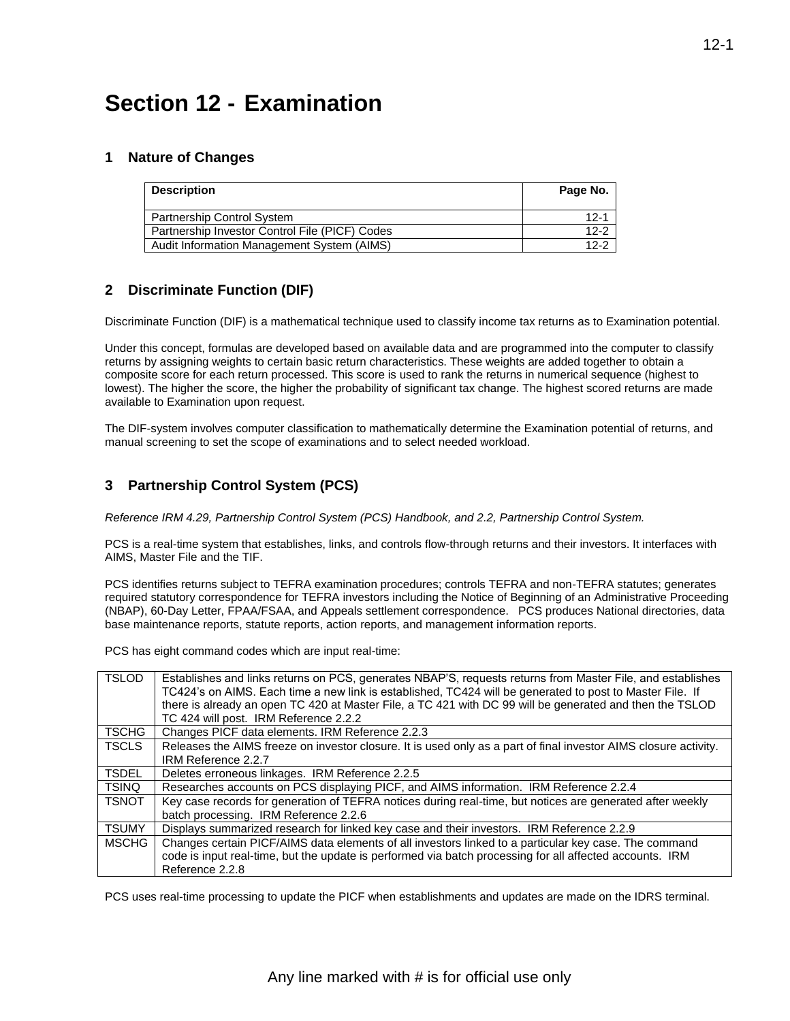# **Section 12 - Examination**

### **1 Nature of Changes**

| <b>Description</b>                             | Page No. |
|------------------------------------------------|----------|
| Partnership Control System                     | $12-1$   |
| Partnership Investor Control File (PICF) Codes | $12-2$   |
| Audit Information Management System (AIMS)     | $12-2$   |

# **2 Discriminate Function (DIF)**

Discriminate Function (DIF) is a mathematical technique used to classify income tax returns as to Examination potential.

Under this concept, formulas are developed based on available data and are programmed into the computer to classify returns by assigning weights to certain basic return characteristics. These weights are added together to obtain a composite score for each return processed. This score is used to rank the returns in numerical sequence (highest to lowest). The higher the score, the higher the probability of significant tax change. The highest scored returns are made available to Examination upon request.

The DIF-system involves computer classification to mathematically determine the Examination potential of returns, and manual screening to set the scope of examinations and to select needed workload.

# **3 Partnership Control System (PCS)**

*Reference IRM 4.29, Partnership Control System (PCS) Handbook, and 2.2, Partnership Control System.* 

PCS is a real-time system that establishes, links, and controls flow-through returns and their investors. It interfaces with AIMS, Master File and the TIF.

PCS identifies returns subject to TEFRA examination procedures; controls TEFRA and non-TEFRA statutes; generates required statutory correspondence for TEFRA investors including the Notice of Beginning of an Administrative Proceeding (NBAP), 60-Day Letter, FPAA/FSAA, and Appeals settlement correspondence. PCS produces National directories, data base maintenance reports, statute reports, action reports, and management information reports.

PCS has eight command codes which are input real-time:

| <b>TSLOD</b> | Establishes and links returns on PCS, generates NBAP'S, requests returns from Master File, and establishes<br>TC424's on AIMS. Each time a new link is established, TC424 will be generated to post to Master File. If<br>there is already an open TC 420 at Master File, a TC 421 with DC 99 will be generated and then the TSLOD<br>TC 424 will post. IRM Reference 2.2.2 |
|--------------|-----------------------------------------------------------------------------------------------------------------------------------------------------------------------------------------------------------------------------------------------------------------------------------------------------------------------------------------------------------------------------|
| <b>TSCHG</b> | Changes PICF data elements. IRM Reference 2.2.3                                                                                                                                                                                                                                                                                                                             |
| <b>TSCLS</b> | Releases the AIMS freeze on investor closure. It is used only as a part of final investor AIMS closure activity.<br>IRM Reference 2.2.7                                                                                                                                                                                                                                     |
| <b>TSDEL</b> | Deletes erroneous linkages. IRM Reference 2.2.5                                                                                                                                                                                                                                                                                                                             |
| <b>TSINQ</b> | Researches accounts on PCS displaying PICF, and AIMS information. IRM Reference 2.2.4                                                                                                                                                                                                                                                                                       |
| <b>TSNOT</b> | Key case records for generation of TEFRA notices during real-time, but notices are generated after weekly<br>batch processing. IRM Reference 2.2.6                                                                                                                                                                                                                          |
| <b>TSUMY</b> | Displays summarized research for linked key case and their investors. IRM Reference 2.2.9                                                                                                                                                                                                                                                                                   |
| <b>MSCHG</b> | Changes certain PICF/AIMS data elements of all investors linked to a particular key case. The command<br>code is input real-time, but the update is performed via batch processing for all affected accounts. IRM<br>Reference 2.2.8                                                                                                                                        |

PCS uses real-time processing to update the PICF when establishments and updates are made on the IDRS terminal.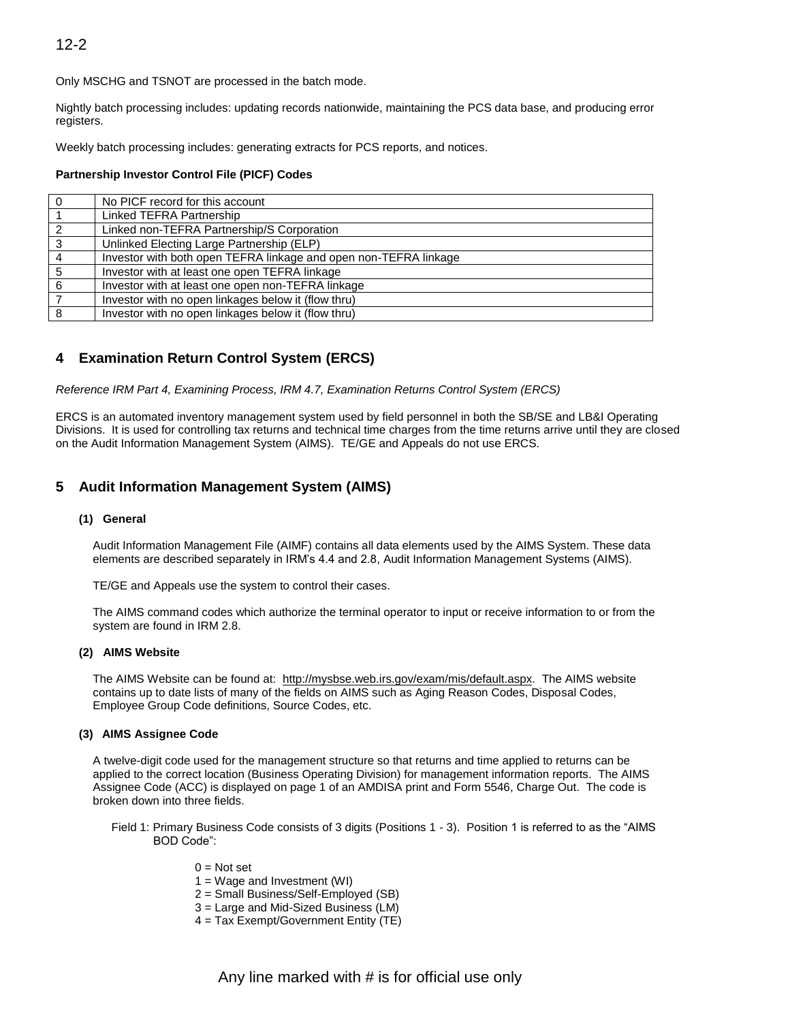Only MSCHG and TSNOT are processed in the batch mode.

Nightly batch processing includes: updating records nationwide, maintaining the PCS data base, and producing error registers.

Weekly batch processing includes: generating extracts for PCS reports, and notices.

#### **Partnership Investor Control File (PICF) Codes**

| $\overline{0}$ | No PICF record for this account                                  |
|----------------|------------------------------------------------------------------|
|                | Linked TEFRA Partnership                                         |
| 2              | Linked non-TEFRA Partnership/S Corporation                       |
| $\mathbf{3}$   | Unlinked Electing Large Partnership (ELP)                        |
| $\overline{4}$ | Investor with both open TEFRA linkage and open non-TEFRA linkage |
| 5              | Investor with at least one open TEFRA linkage                    |
| 6              | Investor with at least one open non-TEFRA linkage                |
| $\overline{7}$ | Investor with no open linkages below it (flow thru)              |
| 8              | Investor with no open linkages below it (flow thru)              |
|                |                                                                  |

# **4 Examination Return Control System (ERCS)**

*Reference IRM Part 4, Examining Process, IRM 4.7, Examination Returns Control System (ERCS)*

ERCS is an automated inventory management system used by field personnel in both the SB/SE and LB&I Operating Divisions. It is used for controlling tax returns and technical time charges from the time returns arrive until they are closed on the Audit Information Management System (AIMS). TE/GE and Appeals do not use ERCS.

# **5 Audit Information Management System (AIMS)**

#### **(1) General**

Audit Information Management File (AIMF) contains all data elements used by the AIMS System. These data elements are described separately in IRM's 4.4 and 2.8, Audit Information Management Systems (AIMS).

TE/GE and Appeals use the system to control their cases.

The AIMS command codes which authorize the terminal operator to input or receive information to or from the system are found in IRM 2.8.

#### **(2) AIMS Website**

The AIMS Website can be found at: [http://mysbse.web.irs.gov/exam/mis/default.aspx.](http://mysbse.web.irs.gov/exam/mis/default.aspx) The AIMS website contains up to date lists of many of the fields on AIMS such as Aging Reason Codes, Disposal Codes, Employee Group Code definitions, Source Codes, etc.

#### **(3) AIMS Assignee Code**

A twelve-digit code used for the management structure so that returns and time applied to returns can be applied to the correct location (Business Operating Division) for management information reports. The AIMS Assignee Code (ACC) is displayed on page 1 of an AMDISA print and Form 5546, Charge Out. The code is broken down into three fields.

- Field 1: Primary Business Code consists of 3 digits (Positions 1 3). Position 1 is referred to as the "AIMS BOD Code":
	- $0 = Not set$
	- $1 = W$ age and Investment (WI)
	- 2 = Small Business/Self-Employed (SB)
	- 3 = Large and Mid-Sized Business (LM)
	- 4 = Tax Exempt/Government Entity (TE)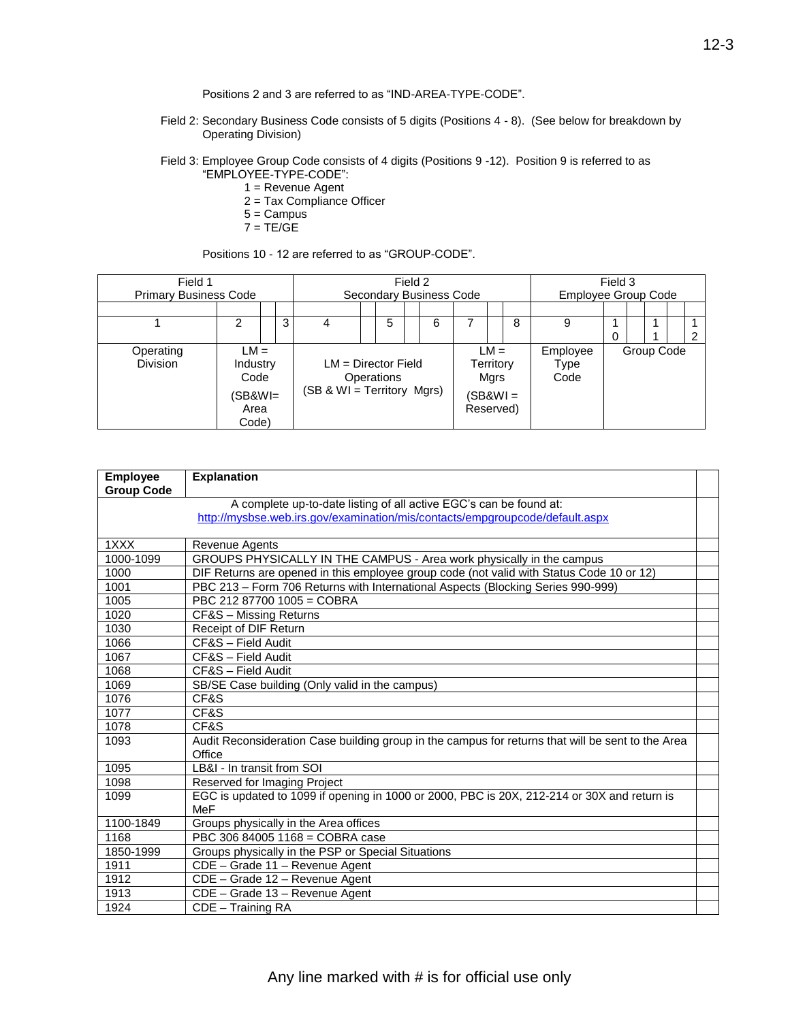Positions 2 and 3 are referred to as "IND-AREA-TYPE-CODE".

Field 2: Secondary Business Code consists of 5 digits (Positions 4 - 8). (See below for breakdown by Operating Division)

Field 3: Employee Group Code consists of 4 digits (Positions 9 -12). Position 9 is referred to as "EMPLOYEE-TYPE-CODE":

- 1 = Revenue Agent
- 2 = Tax Compliance Officer
- 5 = Campus
- $7 = TE/GE$

Positions 10 - 12 are referred to as "GROUP-CODE".

| Field 1<br><b>Primary Business Code</b> |                                                        |  |   |                            | Secondary Business Code             | Field 2 |   |                       |                             |   | <b>Employee Group Code</b> | Field 3 |            |  |
|-----------------------------------------|--------------------------------------------------------|--|---|----------------------------|-------------------------------------|---------|---|-----------------------|-----------------------------|---|----------------------------|---------|------------|--|
|                                         |                                                        |  |   |                            |                                     |         |   |                       |                             |   |                            |         |            |  |
|                                         | 2                                                      |  | 3 |                            | 5                                   |         | 6 |                       |                             | 8 | 9                          | 0       |            |  |
| Operating<br><b>Division</b>            | $LM =$<br>Industry<br>Code<br>(SB&WI=<br>Area<br>Code) |  |   | (SB & WI = Territory Mgrs) | $LM = Director$ Field<br>Operations |         |   | (SB&WI =<br>Reserved) | $LM =$<br>Territory<br>Mgrs |   | Employee<br>Type<br>Code   |         | Group Code |  |

| <b>Employee</b>   | <b>Explanation</b>                                                                                |  |
|-------------------|---------------------------------------------------------------------------------------------------|--|
| <b>Group Code</b> |                                                                                                   |  |
|                   | A complete up-to-date listing of all active EGC's can be found at:                                |  |
|                   | http://mysbse.web.irs.gov/examination/mis/contacts/empgroupcode/default.aspx                      |  |
|                   |                                                                                                   |  |
| 1XXX              | Revenue Agents                                                                                    |  |
| 1000-1099         | GROUPS PHYSICALLY IN THE CAMPUS - Area work physically in the campus                              |  |
| 1000              | DIF Returns are opened in this employee group code (not valid with Status Code 10 or 12)          |  |
| 1001              | PBC 213 - Form 706 Returns with International Aspects (Blocking Series 990-999)                   |  |
| 1005              | PBC 212 87700 1005 = COBRA                                                                        |  |
| 1020              | CF&S - Missing Returns                                                                            |  |
| 1030              | Receipt of DIF Return                                                                             |  |
| 1066              | CF&S - Field Audit                                                                                |  |
| 1067              | CF&S - Field Audit                                                                                |  |
| 1068              | CF&S - Field Audit                                                                                |  |
| 1069              | SB/SE Case building (Only valid in the campus)                                                    |  |
| 1076              | CF&S                                                                                              |  |
| 1077              | CF&S                                                                                              |  |
| 1078              | CF&S                                                                                              |  |
| 1093              | Audit Reconsideration Case building group in the campus for returns that will be sent to the Area |  |
|                   | Office                                                                                            |  |
| 1095              | LB&I - In transit from SOI                                                                        |  |
| 1098              | Reserved for Imaging Project                                                                      |  |
| 1099              | EGC is updated to 1099 if opening in 1000 or 2000, PBC is 20X, 212-214 or 30X and return is       |  |
|                   | MeF                                                                                               |  |
| 1100-1849         | Groups physically in the Area offices                                                             |  |
| 1168              | PBC 306 84005 1168 = COBRA case                                                                   |  |
| 1850-1999         | Groups physically in the PSP or Special Situations                                                |  |
| 1911              | CDE - Grade 11 - Revenue Agent                                                                    |  |
| 1912              | CDE - Grade 12 - Revenue Agent                                                                    |  |
| 1913              | CDE - Grade 13 - Revenue Agent                                                                    |  |
| 1924              | CDE - Training RA                                                                                 |  |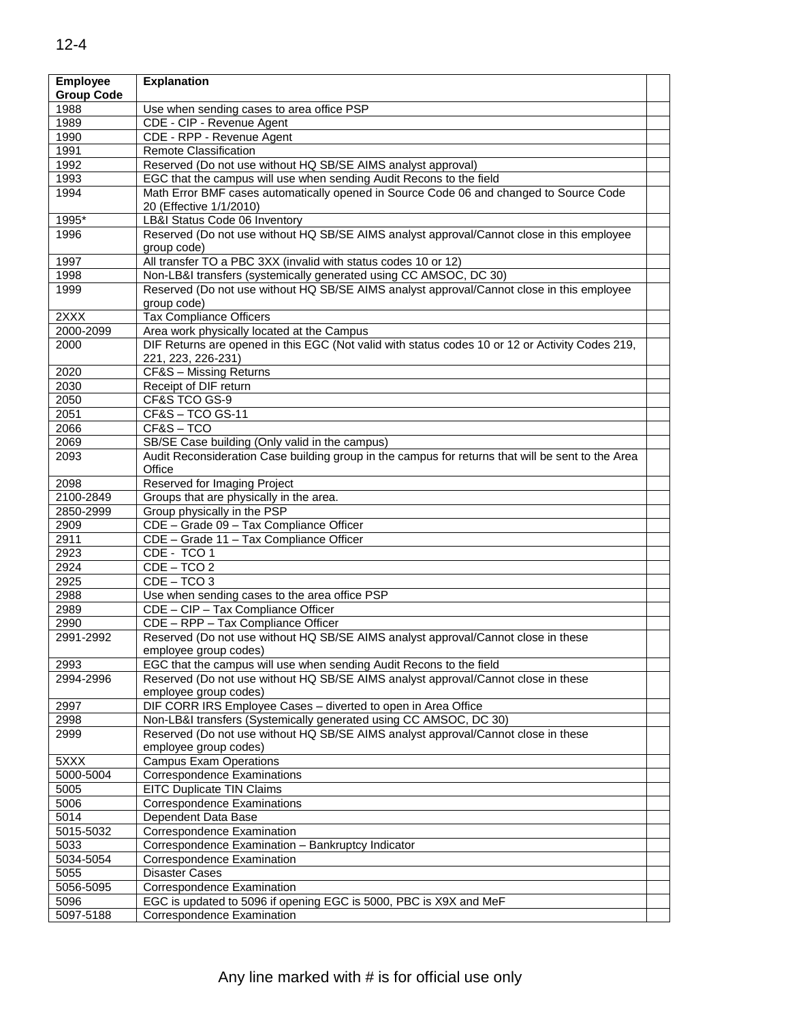| <b>Employee</b><br><b>Group Code</b> | <b>Explanation</b>                                                                                |  |
|--------------------------------------|---------------------------------------------------------------------------------------------------|--|
| 1988                                 | Use when sending cases to area office PSP                                                         |  |
| 1989                                 | CDE - CIP - Revenue Agent                                                                         |  |
| 1990                                 | CDE - RPP - Revenue Agent                                                                         |  |
| 1991                                 | <b>Remote Classification</b>                                                                      |  |
| 1992                                 | Reserved (Do not use without HQ SB/SE AIMS analyst approval)                                      |  |
| 1993                                 | EGC that the campus will use when sending Audit Recons to the field                               |  |
| 1994                                 | Math Error BMF cases automatically opened in Source Code 06 and changed to Source Code            |  |
|                                      | 20 (Effective 1/1/2010)                                                                           |  |
| 1995*                                | LB&I Status Code 06 Inventory                                                                     |  |
| 1996                                 | Reserved (Do not use without HQ SB/SE AIMS analyst approval/Cannot close in this employee         |  |
|                                      | aroup code)                                                                                       |  |
| 1997                                 | All transfer TO a PBC 3XX (invalid with status codes 10 or 12)                                    |  |
| 1998                                 | Non-LB&I transfers (systemically generated using CC AMSOC, DC 30)                                 |  |
| 1999                                 | Reserved (Do not use without HQ SB/SE AIMS analyst approval/Cannot close in this employee         |  |
|                                      | group code)                                                                                       |  |
| 2XXX                                 | <b>Tax Compliance Officers</b>                                                                    |  |
| 2000-2099                            | Area work physically located at the Campus                                                        |  |
| 2000                                 | DIF Returns are opened in this EGC (Not valid with status codes 10 or 12 or Activity Codes 219,   |  |
|                                      | 221, 223, 226-231)                                                                                |  |
| 2020                                 | CF&S - Missing Returns                                                                            |  |
| 2030                                 | Receipt of DIF return                                                                             |  |
| 2050                                 | CF&S TCO GS-9                                                                                     |  |
| 2051                                 | $CFAS - TCO GS-11$                                                                                |  |
| 2066                                 | CF&S-TCO                                                                                          |  |
| 2069                                 | SB/SE Case building (Only valid in the campus)                                                    |  |
| 2093                                 | Audit Reconsideration Case building group in the campus for returns that will be sent to the Area |  |
|                                      | Office                                                                                            |  |
| 2098                                 | Reserved for Imaging Project                                                                      |  |
| 2100-2849                            | Groups that are physically in the area.                                                           |  |
| 2850-2999                            | Group physically in the PSP                                                                       |  |
| 2909                                 | CDE - Grade 09 - Tax Compliance Officer                                                           |  |
| 2911                                 | CDE - Grade 11 - Tax Compliance Officer                                                           |  |
| 2923                                 | CDE - TCO 1                                                                                       |  |
| 2924                                 | CDE - TCO 2                                                                                       |  |
| 2925                                 | $CDE - TCO 3$                                                                                     |  |
| 2988                                 | Use when sending cases to the area office PSP                                                     |  |
| 2989                                 | CDE - CIP - Tax Compliance Officer                                                                |  |
| 2990                                 | CDE - RPP - Tax Compliance Officer                                                                |  |
| 2991-2992                            | Reserved (Do not use without HQ SB/SE AIMS analyst approval/Cannot close in these                 |  |
|                                      | employee group codes)                                                                             |  |
| 2993                                 | EGC that the campus will use when sending Audit Recons to the field                               |  |
| 2994-2996                            | Reserved (Do not use without HQ SB/SE AIMS analyst approval/Cannot close in these                 |  |
|                                      | employee group codes)                                                                             |  |
| 2997                                 | DIF CORR IRS Employee Cases - diverted to open in Area Office                                     |  |
| 2998                                 | Non-LB&I transfers (Systemically generated using CC AMSOC, DC 30)                                 |  |
| 2999                                 | Reserved (Do not use without HQ SB/SE AIMS analyst approval/Cannot close in these                 |  |
|                                      | employee group codes)                                                                             |  |
| 5XXX                                 | <b>Campus Exam Operations</b>                                                                     |  |
| 5000-5004                            | <b>Correspondence Examinations</b>                                                                |  |
| 5005                                 | <b>EITC Duplicate TIN Claims</b>                                                                  |  |
| 5006                                 | <b>Correspondence Examinations</b>                                                                |  |
| 5014                                 | Dependent Data Base                                                                               |  |
| 5015-5032                            | Correspondence Examination                                                                        |  |
| 5033                                 | Correspondence Examination - Bankruptcy Indicator                                                 |  |
| 5034-5054                            | Correspondence Examination                                                                        |  |
| 5055                                 | <b>Disaster Cases</b>                                                                             |  |
| 5056-5095                            | Correspondence Examination                                                                        |  |
| 5096                                 | EGC is updated to 5096 if opening EGC is 5000, PBC is X9X and MeF                                 |  |
| 5097-5188                            | Correspondence Examination                                                                        |  |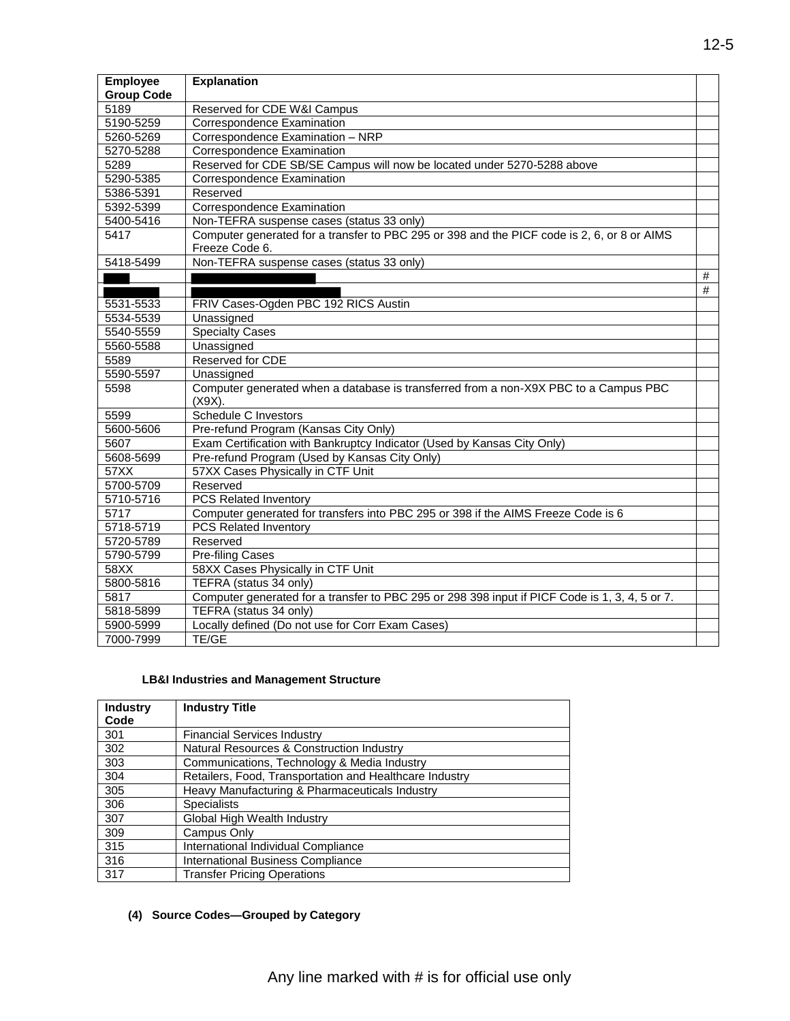| <b>Employee</b>   | <b>Explanation</b>                                                                                |      |
|-------------------|---------------------------------------------------------------------------------------------------|------|
| <b>Group Code</b> |                                                                                                   |      |
| 5189              | Reserved for CDE W&I Campus                                                                       |      |
| 5190-5259         | Correspondence Examination                                                                        |      |
| 5260-5269         | Correspondence Examination - NRP                                                                  |      |
| 5270-5288         | Correspondence Examination                                                                        |      |
| 5289              | Reserved for CDE SB/SE Campus will now be located under 5270-5288 above                           |      |
| 5290-5385         | Correspondence Examination                                                                        |      |
| 5386-5391         | Reserved                                                                                          |      |
| 5392-5399         | <b>Correspondence Examination</b>                                                                 |      |
| 5400-5416         | Non-TEFRA suspense cases (status 33 only)                                                         |      |
| 5417              | Computer generated for a transfer to PBC 295 or 398 and the PICF code is 2, 6, or 8 or AIMS       |      |
|                   | Freeze Code 6.                                                                                    |      |
| 5418-5499         | Non-TEFRA suspense cases (status 33 only)                                                         |      |
|                   |                                                                                                   | #    |
|                   |                                                                                                   | $\#$ |
| 5531-5533         | FRIV Cases-Ogden PBC 192 RICS Austin                                                              |      |
| 5534-5539         | Unassigned                                                                                        |      |
| 5540-5559         | <b>Specialty Cases</b>                                                                            |      |
| 5560-5588         | Unassigned                                                                                        |      |
| 5589              | Reserved for CDE                                                                                  |      |
| 5590-5597         | Unassigned                                                                                        |      |
| 5598              | Computer generated when a database is transferred from a non-X9X PBC to a Campus PBC<br>$(X9X)$ . |      |
| 5599              | <b>Schedule C Investors</b>                                                                       |      |
| 5600-5606         | Pre-refund Program (Kansas City Only)                                                             |      |
| 5607              | Exam Certification with Bankruptcy Indicator (Used by Kansas City Only)                           |      |
| 5608-5699         | Pre-refund Program (Used by Kansas City Only)                                                     |      |
| 57XX              | 57XX Cases Physically in CTF Unit                                                                 |      |
| 5700-5709         | Reserved                                                                                          |      |
| 5710-5716         | <b>PCS Related Inventory</b>                                                                      |      |
| 5717              | Computer generated for transfers into PBC 295 or 398 if the AIMS Freeze Code is 6                 |      |
| 5718-5719         | <b>PCS Related Inventory</b>                                                                      |      |
| 5720-5789         | Reserved                                                                                          |      |
| 5790-5799         | <b>Pre-filing Cases</b>                                                                           |      |
| 58XX              | 58XX Cases Physically in CTF Unit                                                                 |      |
| 5800-5816         | TEFRA (status 34 only)                                                                            |      |
| 5817              | Computer generated for a transfer to PBC 295 or 298 398 input if PICF Code is 1, 3, 4, 5 or 7.    |      |
| 5818-5899         | TEFRA (status 34 only)                                                                            |      |
| 5900-5999         | Locally defined (Do not use for Corr Exam Cases)                                                  |      |
| 7000-7999         | TE/GE                                                                                             |      |

# **LB&I Industries and Management Structure**

| <b>Industry</b> | <b>Industry Title</b>                                   |
|-----------------|---------------------------------------------------------|
| Code            |                                                         |
| 301             | <b>Financial Services Industry</b>                      |
| 302             | Natural Resources & Construction Industry               |
| 303             | Communications, Technology & Media Industry             |
| 304             | Retailers, Food, Transportation and Healthcare Industry |
| 305             | Heavy Manufacturing & Pharmaceuticals Industry          |
| 306             | <b>Specialists</b>                                      |
| 307             | Global High Wealth Industry                             |
| 309             | Campus Only                                             |
| 315             | International Individual Compliance                     |
| 316             | International Business Compliance                       |
| 317             | <b>Transfer Pricing Operations</b>                      |

### **(4) Source Codes—Grouped by Category**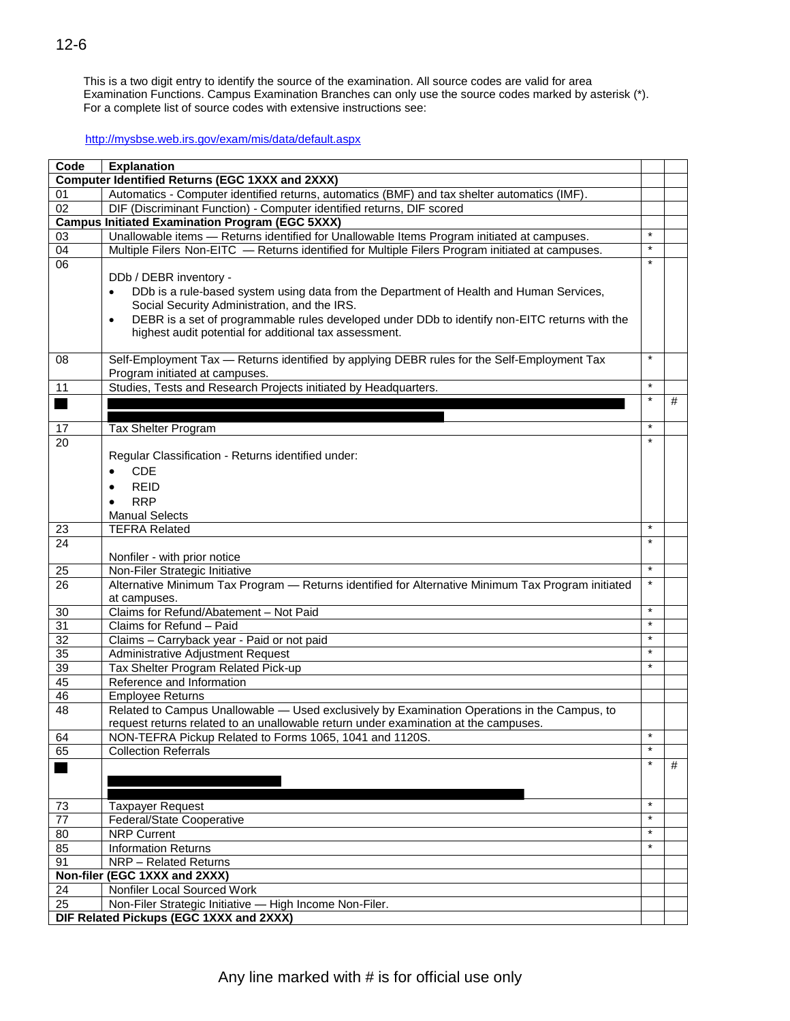This is a two digit entry to identify the source of the examination. All source codes are valid for area Examination Functions. Campus Examination Branches can only use the source codes marked by asterisk (\*). For a complete list of source codes with extensive instructions see:

#### <http://mysbse.web.irs.gov/exam/mis/data/default.aspx>

| Code            | <b>Explanation</b>                                                                                         |         |   |
|-----------------|------------------------------------------------------------------------------------------------------------|---------|---|
|                 | <b>Computer Identified Returns (EGC 1XXX and 2XXX)</b>                                                     |         |   |
| 01              | Automatics - Computer identified returns, automatics (BMF) and tax shelter automatics (IMF).               |         |   |
| 02              | DIF (Discriminant Function) - Computer identified returns, DIF scored                                      |         |   |
|                 | <b>Campus Initiated Examination Program (EGC 5XXX)</b>                                                     |         |   |
| 03              | Unallowable items - Returns identified for Unallowable Items Program initiated at campuses.                | $\star$ |   |
| 04              | Multiple Filers Non-EITC - Returns identified for Multiple Filers Program initiated at campuses.           | $\star$ |   |
| 06              |                                                                                                            | $\star$ |   |
|                 | DDb / DEBR inventory -                                                                                     |         |   |
|                 | DDb is a rule-based system using data from the Department of Health and Human Services,<br>$\bullet$       |         |   |
|                 | Social Security Administration, and the IRS.                                                               |         |   |
|                 | DEBR is a set of programmable rules developed under DDb to identify non-EITC returns with the<br>$\bullet$ |         |   |
|                 | highest audit potential for additional tax assessment.                                                     |         |   |
| 08              | Self-Employment Tax — Returns identified by applying DEBR rules for the Self-Employment Tax                | $\star$ |   |
|                 | Program initiated at campuses.                                                                             |         |   |
| 11              | Studies, Tests and Research Projects initiated by Headquarters.                                            | $\star$ |   |
|                 |                                                                                                            | $\star$ | # |
|                 |                                                                                                            |         |   |
| 17              | Tax Shelter Program                                                                                        | $\star$ |   |
| 20              |                                                                                                            | $\star$ |   |
|                 | Regular Classification - Returns identified under:                                                         |         |   |
|                 | <b>CDE</b><br>$\bullet$                                                                                    |         |   |
|                 | <b>REID</b>                                                                                                |         |   |
|                 | <b>RRP</b>                                                                                                 |         |   |
|                 | $\bullet$<br><b>Manual Selects</b>                                                                         |         |   |
| 23              | <b>TEFRA Related</b>                                                                                       | $\star$ |   |
| $\overline{24}$ |                                                                                                            | $\star$ |   |
|                 | Nonfiler - with prior notice                                                                               |         |   |
| 25              | Non-Filer Strategic Initiative                                                                             | $\star$ |   |
| $\overline{26}$ | Alternative Minimum Tax Program - Returns identified for Alternative Minimum Tax Program initiated         | $\star$ |   |
|                 | at campuses.                                                                                               |         |   |
| 30              | Claims for Refund/Abatement - Not Paid                                                                     | $\star$ |   |
| $\overline{31}$ | Claims for Refund - Paid                                                                                   | $\star$ |   |
| 32              | Claims - Carryback year - Paid or not paid                                                                 | $\star$ |   |
| 35              | Administrative Adjustment Request                                                                          | $\star$ |   |
| 39              | Tax Shelter Program Related Pick-up                                                                        | $\star$ |   |
| 45              | Reference and Information                                                                                  |         |   |
| 46              | <b>Employee Returns</b>                                                                                    |         |   |
| 48              | Related to Campus Unallowable - Used exclusively by Examination Operations in the Campus, to               |         |   |
|                 | request returns related to an unallowable return under examination at the campuses.                        |         |   |
| 64              | NON-TEFRA Pickup Related to Forms 1065, 1041 and 1120S.                                                    |         |   |
| 65              | <b>Collection Referrals</b>                                                                                |         |   |
|                 |                                                                                                            | $\star$ | # |
|                 |                                                                                                            |         |   |
|                 |                                                                                                            | $\star$ |   |
| 73              | <b>Taxpayer Request</b>                                                                                    | $\star$ |   |
| 77              | Federal/State Cooperative                                                                                  | $\star$ |   |
| $\overline{80}$ | <b>NRP Current</b>                                                                                         | $\star$ |   |
| 85              | <b>Information Returns</b>                                                                                 |         |   |
| 91              | <b>NRP</b> - Related Returns                                                                               |         |   |
|                 | Non-filer (EGC 1XXX and 2XXX)                                                                              |         |   |
| 24              | Nonfiler Local Sourced Work                                                                                |         |   |
| $\overline{25}$ | Non-Filer Strategic Initiative - High Income Non-Filer.                                                    |         |   |
|                 | DIF Related Pickups (EGC 1XXX and 2XXX)                                                                    |         |   |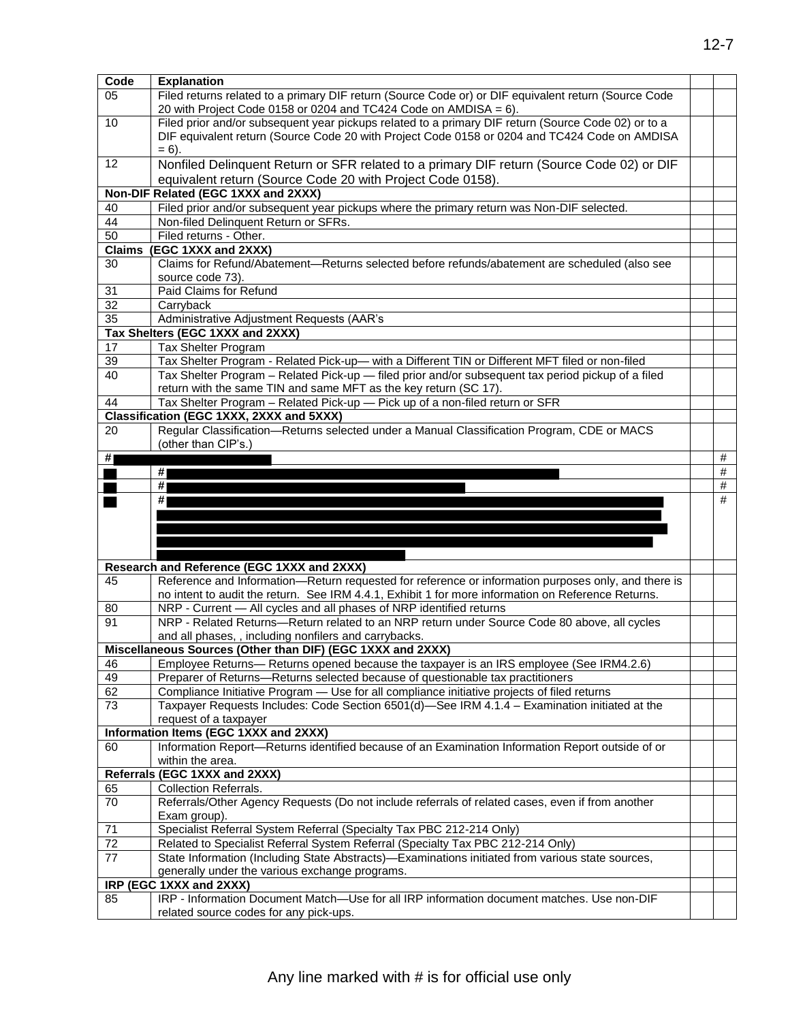| Code                  | <b>Explanation</b>                                                                                                                                                                                               |   |
|-----------------------|------------------------------------------------------------------------------------------------------------------------------------------------------------------------------------------------------------------|---|
| 05                    | Filed returns related to a primary DIF return (Source Code or) or DIF equivalent return (Source Code<br>20 with Project Code 0158 or 0204 and TC424 Code on AMDISA = $6$ ).                                      |   |
| 10                    | Filed prior and/or subsequent year pickups related to a primary DIF return (Source Code 02) or to a<br>DIF equivalent return (Source Code 20 with Project Code 0158 or 0204 and TC424 Code on AMDISA<br>$= 6$ ). |   |
| 12                    | Nonfiled Delinquent Return or SFR related to a primary DIF return (Source Code 02) or DIF                                                                                                                        |   |
|                       | equivalent return (Source Code 20 with Project Code 0158).                                                                                                                                                       |   |
|                       | Non-DIF Related (EGC 1XXX and 2XXX)                                                                                                                                                                              |   |
| 40                    | Filed prior and/or subsequent year pickups where the primary return was Non-DIF selected.                                                                                                                        |   |
| 44<br>$\overline{50}$ | Non-filed Delinquent Return or SFRs.<br>Filed returns - Other.                                                                                                                                                   |   |
|                       | Claims (EGC 1XXX and 2XXX)                                                                                                                                                                                       |   |
| 30                    | Claims for Refund/Abatement-Returns selected before refunds/abatement are scheduled (also see                                                                                                                    |   |
|                       | source code 73).                                                                                                                                                                                                 |   |
| 31                    | Paid Claims for Refund                                                                                                                                                                                           |   |
| $\overline{32}$       | Carryback                                                                                                                                                                                                        |   |
| 35                    | Administrative Adjustment Requests (AAR's                                                                                                                                                                        |   |
| 17                    | Tax Shelters (EGC 1XXX and 2XXX)<br>Tax Shelter Program                                                                                                                                                          |   |
| 39                    | Tax Shelter Program - Related Pick-up- with a Different TIN or Different MFT filed or non-filed                                                                                                                  |   |
| 40                    | Tax Shelter Program - Related Pick-up - filed prior and/or subsequent tax period pickup of a filed                                                                                                               |   |
|                       | return with the same TIN and same MFT as the key return (SC 17).                                                                                                                                                 |   |
| 44                    | Tax Shelter Program - Related Pick-up - Pick up of a non-filed return or SFR                                                                                                                                     |   |
|                       | Classification (EGC 1XXX, 2XXX and 5XXX)                                                                                                                                                                         |   |
| 20                    | Regular Classification-Returns selected under a Manual Classification Program, CDE or MACS<br>(other than CIP's.)                                                                                                |   |
| #                     |                                                                                                                                                                                                                  | # |
|                       | #                                                                                                                                                                                                                | # |
|                       | #                                                                                                                                                                                                                | # |
|                       | #                                                                                                                                                                                                                | # |
|                       |                                                                                                                                                                                                                  |   |
|                       |                                                                                                                                                                                                                  |   |
|                       |                                                                                                                                                                                                                  |   |
|                       |                                                                                                                                                                                                                  |   |
|                       |                                                                                                                                                                                                                  |   |
|                       | Research and Reference (EGC 1XXX and 2XXX)                                                                                                                                                                       |   |
| 45                    | Reference and Information-Return requested for reference or information purposes only, and there is                                                                                                              |   |
|                       | no intent to audit the return. See IRM 4.4.1, Exhibit 1 for more information on Reference Returns.                                                                                                               |   |
| 80<br>91              | NRP - Current - All cycles and all phases of NRP identified returns                                                                                                                                              |   |
|                       | NRP - Related Returns-Return related to an NRP return under Source Code 80 above, all cycles                                                                                                                     |   |
|                       | and all phases,, including nonfilers and carrybacks.                                                                                                                                                             |   |
| 46                    | Miscellaneous Sources (Other than DIF) (EGC 1XXX and 2XXX)<br>Employee Returns— Returns opened because the taxpayer is an IRS employee (See IRM4.2.6)                                                            |   |
| 49                    | Preparer of Returns-Returns selected because of questionable tax practitioners                                                                                                                                   |   |
| 62                    | Compliance Initiative Program - Use for all compliance initiative projects of filed returns                                                                                                                      |   |
| $\overline{73}$       | Taxpayer Requests Includes: Code Section 6501(d)-See IRM 4.1.4 - Examination initiated at the                                                                                                                    |   |
|                       | request of a taxpayer                                                                                                                                                                                            |   |
|                       | Information Items (EGC 1XXX and 2XXX)                                                                                                                                                                            |   |
| 60                    | Information Report-Returns identified because of an Examination Information Report outside of or<br>within the area.                                                                                             |   |
|                       | Referrals (EGC 1XXX and 2XXX)                                                                                                                                                                                    |   |
| 65                    | <b>Collection Referrals.</b>                                                                                                                                                                                     |   |
| 70                    | Referrals/Other Agency Requests (Do not include referrals of related cases, even if from another                                                                                                                 |   |
|                       | Exam group).                                                                                                                                                                                                     |   |
| 71                    | Specialist Referral System Referral (Specialty Tax PBC 212-214 Only)                                                                                                                                             |   |
| $\overline{72}$       | Related to Specialist Referral System Referral (Specialty Tax PBC 212-214 Only)                                                                                                                                  |   |
| 77                    | State Information (Including State Abstracts)—Examinations initiated from various state sources,                                                                                                                 |   |
|                       | generally under the various exchange programs.<br>IRP (EGC 1XXX and 2XXX)                                                                                                                                        |   |
| 85                    | IRP - Information Document Match-Use for all IRP information document matches. Use non-DIF                                                                                                                       |   |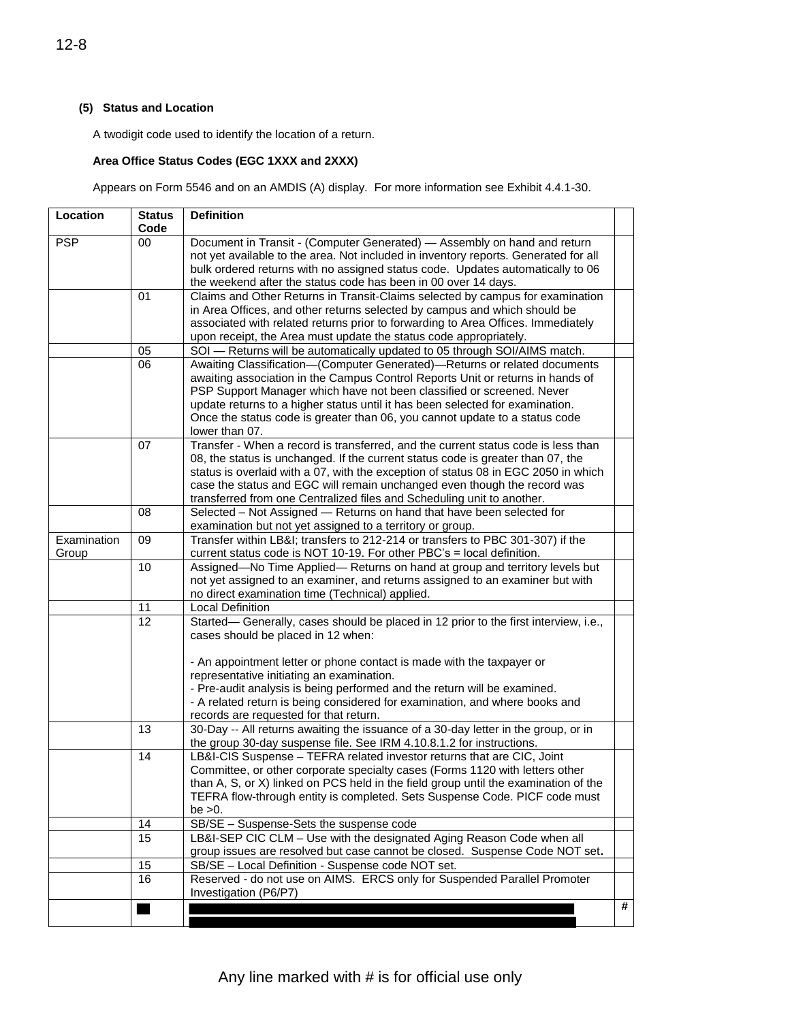### **(5) Status and Location**

A twodigit code used to identify the location of a return.

#### **Area Office Status Codes (EGC 1XXX and 2XXX)**

 $\mathbf{I}$ 

Appears on Form 5546 and on an AMDIS (A) display. For more information see Exhibit 4.4.1-30.

| Location             | <b>Status</b><br>Code | <b>Definition</b>                                                                                                                                                                                                                                                                                                                                                                                                                                     |   |
|----------------------|-----------------------|-------------------------------------------------------------------------------------------------------------------------------------------------------------------------------------------------------------------------------------------------------------------------------------------------------------------------------------------------------------------------------------------------------------------------------------------------------|---|
| <b>PSP</b>           | 00                    | Document in Transit - (Computer Generated) - Assembly on hand and return<br>not yet available to the area. Not included in inventory reports. Generated for all<br>bulk ordered returns with no assigned status code. Updates automatically to 06<br>the weekend after the status code has been in 00 over 14 days.                                                                                                                                   |   |
|                      | 01                    | Claims and Other Returns in Transit-Claims selected by campus for examination<br>in Area Offices, and other returns selected by campus and which should be<br>associated with related returns prior to forwarding to Area Offices. Immediately<br>upon receipt, the Area must update the status code appropriately.                                                                                                                                   |   |
|                      | 05                    | SOI - Returns will be automatically updated to 05 through SOI/AIMS match.                                                                                                                                                                                                                                                                                                                                                                             |   |
|                      | 06                    | Awaiting Classification-(Computer Generated)-Returns or related documents<br>awaiting association in the Campus Control Reports Unit or returns in hands of<br>PSP Support Manager which have not been classified or screened. Never<br>update returns to a higher status until it has been selected for examination.<br>Once the status code is greater than 06, you cannot update to a status code<br>lower than 07.                                |   |
|                      | 07                    | Transfer - When a record is transferred, and the current status code is less than<br>08, the status is unchanged. If the current status code is greater than 07, the<br>status is overlaid with a 07, with the exception of status 08 in EGC 2050 in which<br>case the status and EGC will remain unchanged even though the record was<br>transferred from one Centralized files and Scheduling unit to another.                                      |   |
|                      | 08                    | Selected - Not Assigned - Returns on hand that have been selected for<br>examination but not yet assigned to a territory or group.                                                                                                                                                                                                                                                                                                                    |   |
| Examination<br>Group | 09                    | Transfer within LB&I transfers to 212-214 or transfers to PBC 301-307) if the<br>current status code is NOT 10-19. For other PBC's = local definition.                                                                                                                                                                                                                                                                                                |   |
|                      | 10                    | Assigned-No Time Applied- Returns on hand at group and territory levels but<br>not yet assigned to an examiner, and returns assigned to an examiner but with<br>no direct examination time (Technical) applied.                                                                                                                                                                                                                                       |   |
|                      | 11                    | <b>Local Definition</b>                                                                                                                                                                                                                                                                                                                                                                                                                               |   |
|                      | $\overline{12}$       | Started- Generally, cases should be placed in 12 prior to the first interview, i.e.,<br>cases should be placed in 12 when:<br>- An appointment letter or phone contact is made with the taxpayer or<br>representative initiating an examination.<br>- Pre-audit analysis is being performed and the return will be examined.<br>- A related return is being considered for examination, and where books and<br>records are requested for that return. |   |
|                      | 13                    | 30-Day -- All returns awaiting the issuance of a 30-day letter in the group, or in<br>the group 30-day suspense file. See IRM 4.10.8.1.2 for instructions.                                                                                                                                                                                                                                                                                            |   |
|                      | 14                    | LB&I-CIS Suspense - TEFRA related investor returns that are CIC, Joint<br>Committee, or other corporate specialty cases (Forms 1120 with letters other<br>than A, S, or X) linked on PCS held in the field group until the examination of the<br>TEFRA flow-through entity is completed. Sets Suspense Code. PICF code must<br>be $>0$ .                                                                                                              |   |
|                      | 14                    | SB/SE - Suspense-Sets the suspense code                                                                                                                                                                                                                                                                                                                                                                                                               |   |
|                      | 15                    | LB&I-SEP CIC CLM - Use with the designated Aging Reason Code when all<br>group issues are resolved but case cannot be closed. Suspense Code NOT set.                                                                                                                                                                                                                                                                                                  |   |
|                      | 15                    | SB/SE - Local Definition - Suspense code NOT set.                                                                                                                                                                                                                                                                                                                                                                                                     |   |
|                      | 16                    | Reserved - do not use on AIMS. ERCS only for Suspended Parallel Promoter<br>Investigation (P6/P7)                                                                                                                                                                                                                                                                                                                                                     |   |
|                      |                       |                                                                                                                                                                                                                                                                                                                                                                                                                                                       | # |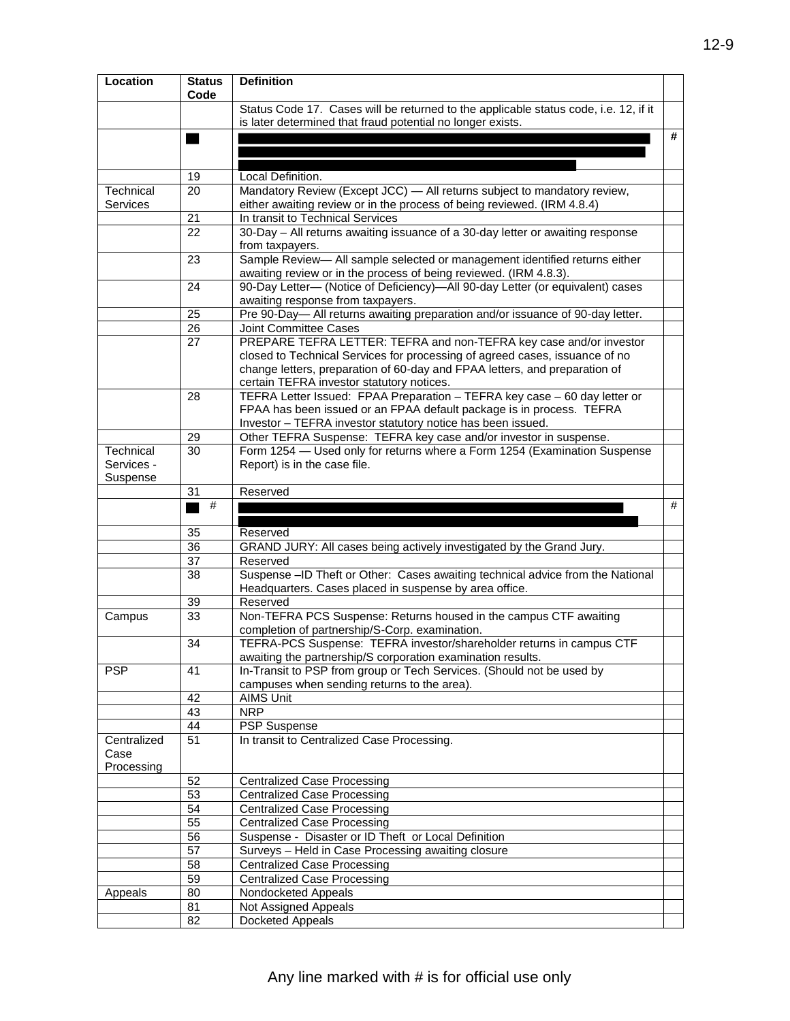| Location            | <b>Status</b><br>Code | <b>Definition</b>                                                                                                                                  |   |
|---------------------|-----------------------|----------------------------------------------------------------------------------------------------------------------------------------------------|---|
|                     |                       | Status Code 17. Cases will be returned to the applicable status code, i.e. 12, if it<br>is later determined that fraud potential no longer exists. |   |
|                     |                       |                                                                                                                                                    | # |
|                     |                       |                                                                                                                                                    |   |
|                     |                       |                                                                                                                                                    |   |
|                     | 19                    | Local Definition.                                                                                                                                  |   |
| Technical           | 20                    | Mandatory Review (Except JCC) - All returns subject to mandatory review,                                                                           |   |
| Services            |                       | either awaiting review or in the process of being reviewed. (IRM 4.8.4)                                                                            |   |
|                     | 21                    | In transit to Technical Services                                                                                                                   |   |
|                     | $\overline{22}$       | 30-Day - All returns awaiting issuance of a 30-day letter or awaiting response<br>from taxpayers.                                                  |   |
|                     | 23                    | Sample Review- All sample selected or management identified returns either<br>awaiting review or in the process of being reviewed. (IRM 4.8.3).    |   |
|                     | 24                    | 90-Day Letter- (Notice of Deficiency)-All 90-day Letter (or equivalent) cases                                                                      |   |
|                     |                       | awaiting response from taxpayers.                                                                                                                  |   |
|                     | 25                    | Pre 90-Day-All returns awaiting preparation and/or issuance of 90-day letter.                                                                      |   |
|                     | 26                    | Joint Committee Cases                                                                                                                              |   |
|                     | 27                    | PREPARE TEFRA LETTER: TEFRA and non-TEFRA key case and/or investor                                                                                 |   |
|                     |                       | closed to Technical Services for processing of agreed cases, issuance of no                                                                        |   |
|                     |                       | change letters, preparation of 60-day and FPAA letters, and preparation of<br>certain TEFRA investor statutory notices.                            |   |
|                     | 28                    | TEFRA Letter Issued: FPAA Preparation - TEFRA key case - 60 day letter or                                                                          |   |
|                     |                       | FPAA has been issued or an FPAA default package is in process. TEFRA                                                                               |   |
|                     |                       | Investor - TEFRA investor statutory notice has been issued.                                                                                        |   |
|                     | 29                    | Other TEFRA Suspense: TEFRA key case and/or investor in suspense.                                                                                  |   |
| Technical           | 30                    | Form 1254 - Used only for returns where a Form 1254 (Examination Suspense                                                                          |   |
| Services -          |                       | Report) is in the case file.                                                                                                                       |   |
| Suspense            | 31                    | Reserved                                                                                                                                           |   |
|                     |                       |                                                                                                                                                    |   |
|                     |                       |                                                                                                                                                    |   |
|                     | #                     |                                                                                                                                                    | # |
|                     | 35                    | Reserved                                                                                                                                           |   |
|                     | 36                    | GRAND JURY: All cases being actively investigated by the Grand Jury.                                                                               |   |
|                     | 37                    | Reserved                                                                                                                                           |   |
|                     | 38                    | Suspense -ID Theft or Other: Cases awaiting technical advice from the National                                                                     |   |
|                     |                       | Headquarters. Cases placed in suspense by area office.                                                                                             |   |
|                     | 39                    | Reserved                                                                                                                                           |   |
| Campus              | 33                    | Non-TEFRA PCS Suspense: Returns housed in the campus CTF awaiting<br>completion of partnership/S-Corp. examination.                                |   |
|                     | 34                    | TEFRA-PCS Suspense: TEFRA investor/shareholder returns in campus CTF                                                                               |   |
|                     |                       | awaiting the partnership/S corporation examination results.                                                                                        |   |
| <b>PSP</b>          | 41                    | In-Transit to PSP from group or Tech Services. (Should not be used by                                                                              |   |
|                     |                       | campuses when sending returns to the area).                                                                                                        |   |
|                     | 42                    | <b>AIMS Unit</b>                                                                                                                                   |   |
|                     | 43                    | <b>NRP</b>                                                                                                                                         |   |
|                     | 44<br>51              | <b>PSP</b> Suspense                                                                                                                                |   |
| Centralized<br>Case |                       | In transit to Centralized Case Processing.                                                                                                         |   |
| Processing          |                       |                                                                                                                                                    |   |
|                     | 52                    | <b>Centralized Case Processing</b>                                                                                                                 |   |
|                     | 53                    | <b>Centralized Case Processing</b>                                                                                                                 |   |
|                     | 54                    | <b>Centralized Case Processing</b>                                                                                                                 |   |
|                     | 55                    | <b>Centralized Case Processing</b>                                                                                                                 |   |
|                     | 56                    | Suspense - Disaster or ID Theft or Local Definition                                                                                                |   |
|                     | 57                    | Surveys - Held in Case Processing awaiting closure                                                                                                 |   |
|                     | 58                    | <b>Centralized Case Processing</b>                                                                                                                 |   |
|                     | 59                    | <b>Centralized Case Processing</b>                                                                                                                 |   |
| Appeals             | 80                    | Nondocketed Appeals                                                                                                                                |   |
|                     | 81<br>82              | Not Assigned Appeals<br>Docketed Appeals                                                                                                           |   |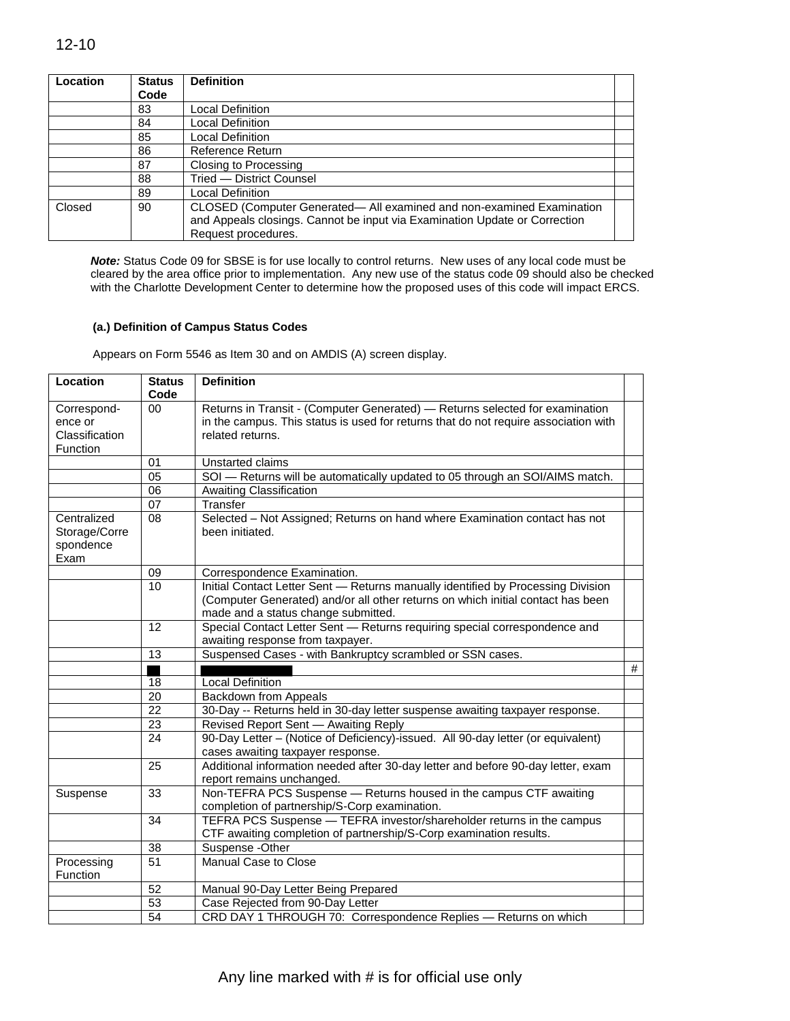| Location | <b>Status</b> | <b>Definition</b>                                                                                                                                   |  |
|----------|---------------|-----------------------------------------------------------------------------------------------------------------------------------------------------|--|
|          | Code          |                                                                                                                                                     |  |
|          | 83            | Local Definition                                                                                                                                    |  |
|          | 84            | Local Definition                                                                                                                                    |  |
|          | 85            | Local Definition                                                                                                                                    |  |
|          | 86            | Reference Return                                                                                                                                    |  |
|          | 87            | Closing to Processing                                                                                                                               |  |
|          | 88            | Tried - District Counsel                                                                                                                            |  |
|          | 89            | <b>Local Definition</b>                                                                                                                             |  |
| Closed   | 90            | CLOSED (Computer Generated- All examined and non-examined Examination<br>and Appeals closings. Cannot be input via Examination Update or Correction |  |
|          |               | Request procedures.                                                                                                                                 |  |

*Note:* Status Code 09 for SBSE is for use locally to control returns. New uses of any local code must be cleared by the area office prior to implementation. Any new use of the status code 09 should also be checked with the Charlotte Development Center to determine how the proposed uses of this code will impact ERCS.

#### **(a.) Definition of Campus Status Codes**

Appears on Form 5546 as Item 30 and on AMDIS (A) screen display.

| Location                                             | <b>Status</b><br>Code | <b>Definition</b>                                                                                                                                                                                          |   |
|------------------------------------------------------|-----------------------|------------------------------------------------------------------------------------------------------------------------------------------------------------------------------------------------------------|---|
| Correspond-<br>ence or<br>Classification<br>Function | $00\,$                | Returns in Transit - (Computer Generated) - Returns selected for examination<br>in the campus. This status is used for returns that do not require association with<br>related returns.                    |   |
|                                                      | 01                    | Unstarted claims                                                                                                                                                                                           |   |
|                                                      | 05                    | SOI - Returns will be automatically updated to 05 through an SOI/AIMS match.                                                                                                                               |   |
|                                                      | $\overline{06}$       | <b>Awaiting Classification</b>                                                                                                                                                                             |   |
|                                                      | 07                    | Transfer                                                                                                                                                                                                   |   |
| Centralized<br>Storage/Corre<br>spondence<br>Exam    | 08                    | Selected - Not Assigned; Returns on hand where Examination contact has not<br>been initiated.                                                                                                              |   |
|                                                      | 09                    | Correspondence Examination.                                                                                                                                                                                |   |
|                                                      | 10                    | Initial Contact Letter Sent - Returns manually identified by Processing Division<br>(Computer Generated) and/or all other returns on which initial contact has been<br>made and a status change submitted. |   |
|                                                      | 12                    | Special Contact Letter Sent - Returns requiring special correspondence and<br>awaiting response from taxpayer.                                                                                             |   |
|                                                      | 13                    | Suspensed Cases - with Bankruptcy scrambled or SSN cases.                                                                                                                                                  |   |
|                                                      |                       |                                                                                                                                                                                                            | # |
|                                                      | 18                    | <b>Local Definition</b>                                                                                                                                                                                    |   |
|                                                      | $\overline{20}$       | <b>Backdown from Appeals</b>                                                                                                                                                                               |   |
|                                                      | 22                    | 30-Day -- Returns held in 30-day letter suspense awaiting taxpayer response.                                                                                                                               |   |
|                                                      | $\overline{23}$       | Revised Report Sent - Awaiting Reply                                                                                                                                                                       |   |
|                                                      | 24                    | 90-Day Letter - (Notice of Deficiency)-issued. All 90-day letter (or equivalent)<br>cases awaiting taxpayer response.                                                                                      |   |
|                                                      | 25                    | Additional information needed after 30-day letter and before 90-day letter, exam<br>report remains unchanged.                                                                                              |   |
| Suspense                                             | 33                    | Non-TEFRA PCS Suspense - Returns housed in the campus CTF awaiting<br>completion of partnership/S-Corp examination.                                                                                        |   |
|                                                      | 34                    | TEFRA PCS Suspense - TEFRA investor/shareholder returns in the campus<br>CTF awaiting completion of partnership/S-Corp examination results.                                                                |   |
|                                                      | 38                    | Suspense - Other                                                                                                                                                                                           |   |
| Processing<br>Function                               | 51                    | Manual Case to Close                                                                                                                                                                                       |   |
|                                                      | 52                    | Manual 90-Day Letter Being Prepared                                                                                                                                                                        |   |
|                                                      | $\overline{53}$       | Case Rejected from 90-Day Letter                                                                                                                                                                           |   |
|                                                      | $\overline{54}$       | CRD DAY 1 THROUGH 70: Correspondence Replies - Returns on which                                                                                                                                            |   |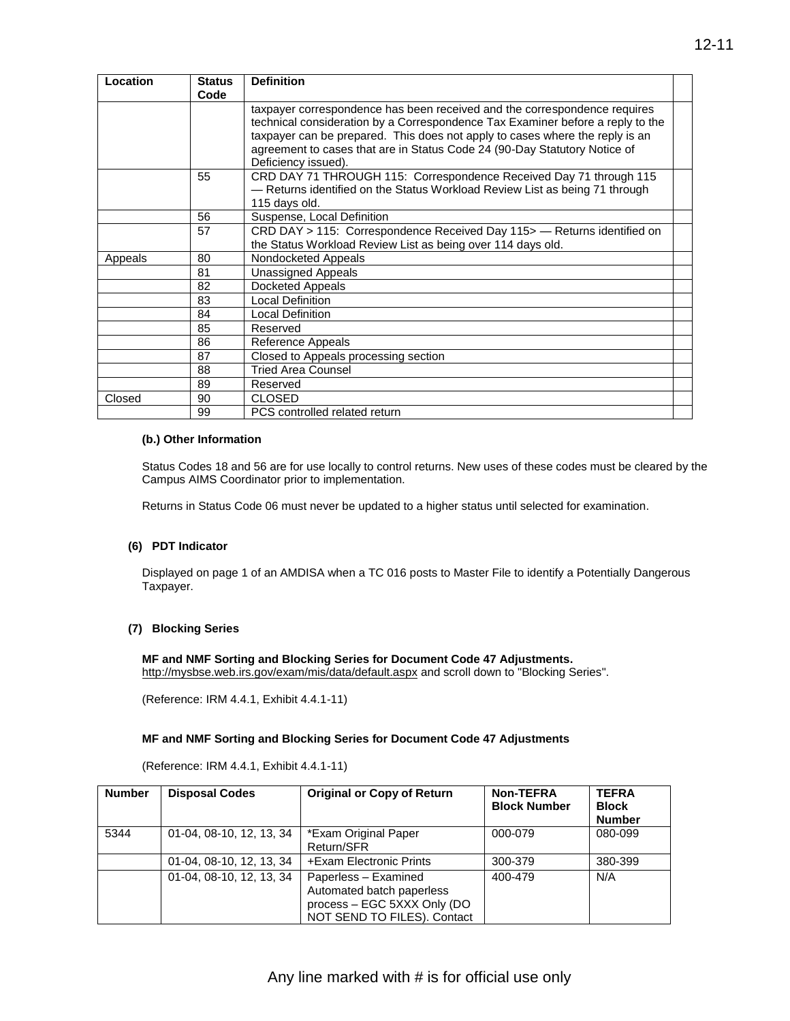| Location | <b>Status</b><br>Code | <b>Definition</b>                                                                                                                                                                                                                                                                                                                               |  |
|----------|-----------------------|-------------------------------------------------------------------------------------------------------------------------------------------------------------------------------------------------------------------------------------------------------------------------------------------------------------------------------------------------|--|
|          |                       | taxpayer correspondence has been received and the correspondence requires<br>technical consideration by a Correspondence Tax Examiner before a reply to the<br>taxpayer can be prepared. This does not apply to cases where the reply is an<br>agreement to cases that are in Status Code 24 (90-Day Statutory Notice of<br>Deficiency issued). |  |
|          | 55                    | CRD DAY 71 THROUGH 115: Correspondence Received Day 71 through 115<br>- Returns identified on the Status Workload Review List as being 71 through<br>115 days old.                                                                                                                                                                              |  |
|          | 56                    | Suspense, Local Definition                                                                                                                                                                                                                                                                                                                      |  |
|          | 57                    | CRD DAY > 115: Correspondence Received Day 115 >— Returns identified on<br>the Status Workload Review List as being over 114 days old.                                                                                                                                                                                                          |  |
| Appeals  | 80                    | Nondocketed Appeals                                                                                                                                                                                                                                                                                                                             |  |
|          | 81                    | Unassigned Appeals                                                                                                                                                                                                                                                                                                                              |  |
|          | 82                    | Docketed Appeals                                                                                                                                                                                                                                                                                                                                |  |
|          | 83                    | Local Definition                                                                                                                                                                                                                                                                                                                                |  |
|          | 84                    | Local Definition                                                                                                                                                                                                                                                                                                                                |  |
|          | 85                    | Reserved                                                                                                                                                                                                                                                                                                                                        |  |
|          | 86                    | Reference Appeals                                                                                                                                                                                                                                                                                                                               |  |
|          | 87                    | Closed to Appeals processing section                                                                                                                                                                                                                                                                                                            |  |
|          | 88                    | <b>Tried Area Counsel</b>                                                                                                                                                                                                                                                                                                                       |  |
|          | 89                    | Reserved                                                                                                                                                                                                                                                                                                                                        |  |
| Closed   | 90                    | <b>CLOSED</b>                                                                                                                                                                                                                                                                                                                                   |  |
|          | 99                    | PCS controlled related return                                                                                                                                                                                                                                                                                                                   |  |

#### **(b.) Other Information**

Status Codes 18 and 56 are for use locally to control returns. New uses of these codes must be cleared by the Campus AIMS Coordinator prior to implementation.

Returns in Status Code 06 must never be updated to a higher status until selected for examination.

#### **(6) PDT Indicator**

Displayed on page 1 of an AMDISA when a TC 016 posts to Master File to identify a Potentially Dangerous Taxpayer.

#### **(7) Blocking Series**

**MF and NMF Sorting and Blocking Series for Document Code 47 Adjustments.**  <http://mysbse.web.irs.gov/exam/mis/data/default.aspx>and scroll down to "Blocking Series".

(Reference: IRM 4.4.1, Exhibit 4.4.1-11)

#### **MF and NMF Sorting and Blocking Series for Document Code 47 Adjustments**

(Reference: IRM 4.4.1, Exhibit 4.4.1-11)

| <b>Number</b> | <b>Disposal Codes</b>    | <b>Original or Copy of Return</b>                                                                               | <b>Non-TEFRA</b><br><b>Block Number</b> | <b>TEFRA</b><br><b>Block</b><br><b>Number</b> |
|---------------|--------------------------|-----------------------------------------------------------------------------------------------------------------|-----------------------------------------|-----------------------------------------------|
| 5344          | 01-04, 08-10, 12, 13, 34 | *Exam Original Paper<br>Return/SFR                                                                              | 000-079                                 | 080-099                                       |
|               | 01-04, 08-10, 12, 13, 34 | +Exam Electronic Prints                                                                                         | 300-379                                 | 380-399                                       |
|               | 01-04, 08-10, 12, 13, 34 | Paperless - Examined<br>Automated batch paperless<br>process - EGC 5XXX Only (DO<br>NOT SEND TO FILES). Contact | 400-479                                 | N/A                                           |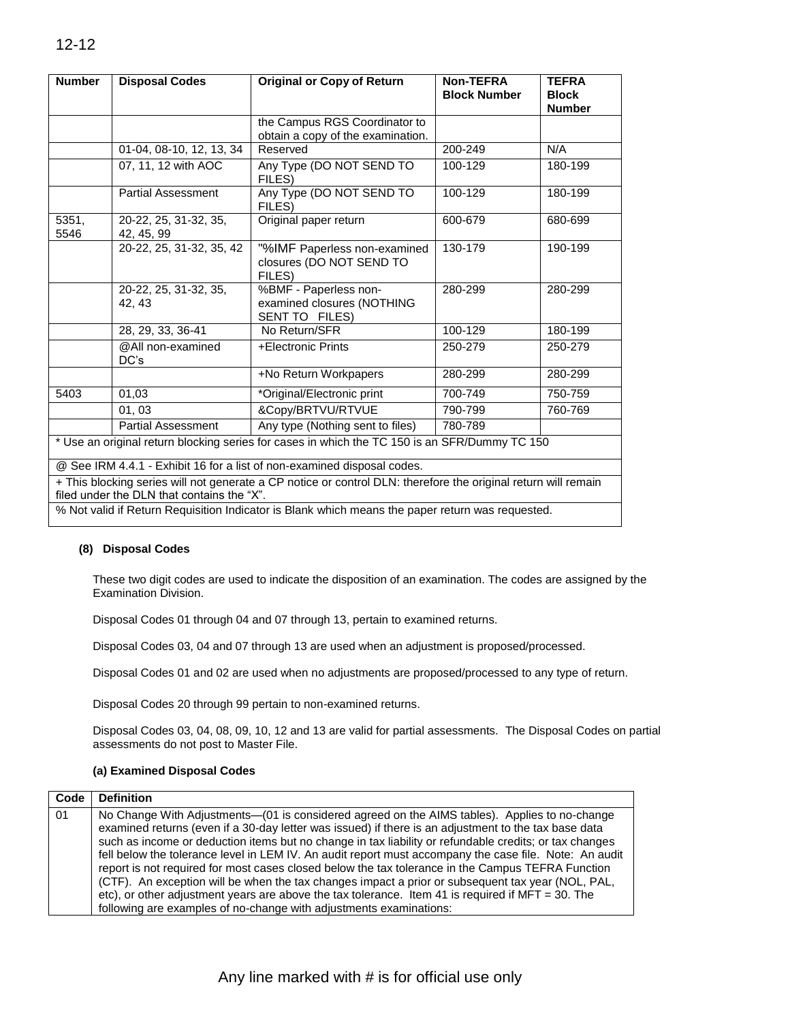| <b>Number</b> | <b>Disposal Codes</b>                      | <b>Original or Copy of Return</b>                                                                              | <b>Non-TEFRA</b><br><b>Block Number</b> | <b>TEFRA</b><br><b>Block</b> |
|---------------|--------------------------------------------|----------------------------------------------------------------------------------------------------------------|-----------------------------------------|------------------------------|
|               |                                            |                                                                                                                |                                         | <b>Number</b>                |
|               |                                            | the Campus RGS Coordinator to<br>obtain a copy of the examination.                                             |                                         |                              |
|               | 01-04, 08-10, 12, 13, 34                   | Reserved                                                                                                       | 200-249                                 | N/A                          |
|               | 07, 11, 12 with AOC                        | Any Type (DO NOT SEND TO<br>FILES)                                                                             | 100-129                                 | 180-199                      |
|               | <b>Partial Assessment</b>                  | Any Type (DO NOT SEND TO<br>FILES)                                                                             | 100-129                                 | 180-199                      |
| 5351,<br>5546 | 20-22, 25, 31-32, 35,<br>42, 45, 99        | Original paper return                                                                                          | 600-679                                 | 680-699                      |
|               | 20-22, 25, 31-32, 35, 42                   | "%IMF Paperless non-examined<br>closures (DO NOT SEND TO<br>FILES)                                             | 130-179                                 | 190-199                      |
|               | 20-22, 25, 31-32, 35,<br>42.43             | %BMF - Paperless non-<br>examined closures (NOTHING<br>SENT TO FILES)                                          | 280-299                                 | 280-299                      |
|               | 28, 29, 33, 36-41                          | No Return/SFR                                                                                                  | 100-129                                 | 180-199                      |
|               | @All non-examined<br>DC's                  | +Electronic Prints                                                                                             | 250-279                                 | 250-279                      |
|               |                                            | +No Return Workpapers                                                                                          | 280-299                                 | 280-299                      |
| 5403          | 01,03                                      | *Original/Electronic print                                                                                     | 700-749                                 | 750-759                      |
|               | 01, 03                                     | &Copy/BRTVU/RTVUE                                                                                              | 790-799                                 | 760-769                      |
|               | <b>Partial Assessment</b>                  | Any type (Nothing sent to files)                                                                               | 780-789                                 |                              |
|               |                                            | * Use an original return blocking series for cases in which the TC 150 is an SFR/Dummy TC 150                  |                                         |                              |
|               |                                            | @ See IRM 4.4.1 - Exhibit 16 for a list of non-examined disposal codes.                                        |                                         |                              |
|               | filed under the DLN that contains the "X". | + This blocking series will not generate a CP notice or control DLN: therefore the original return will remain |                                         |                              |
|               |                                            | % Not valid if Return Requisition Indicator is Blank which means the paper return was requested.               |                                         |                              |

#### **(8) Disposal Codes**

These two digit codes are used to indicate the disposition of an examination. The codes are assigned by the Examination Division.

Disposal Codes 01 through 04 and 07 through 13, pertain to examined returns.

Disposal Codes 03, 04 and 07 through 13 are used when an adjustment is proposed/processed.

Disposal Codes 01 and 02 are used when no adjustments are proposed/processed to any type of return.

Disposal Codes 20 through 99 pertain to non-examined returns.

Disposal Codes 03, 04, 08, 09, 10, 12 and 13 are valid for partial assessments. The Disposal Codes on partial assessments do not post to Master File.

#### **(a) Examined Disposal Codes**

| Code | <b>Definition</b>                                                                                                                                                                                                                                                                                                                                                                                                                                                                                                                                                                                                                                                                                                                                                                                                 |
|------|-------------------------------------------------------------------------------------------------------------------------------------------------------------------------------------------------------------------------------------------------------------------------------------------------------------------------------------------------------------------------------------------------------------------------------------------------------------------------------------------------------------------------------------------------------------------------------------------------------------------------------------------------------------------------------------------------------------------------------------------------------------------------------------------------------------------|
| 01   | No Change With Adjustments—(01 is considered agreed on the AIMS tables). Applies to no-change<br>examined returns (even if a 30-day letter was issued) if there is an adjustment to the tax base data<br>such as income or deduction items but no change in tax liability or refundable credits; or tax changes<br>fell below the tolerance level in LEM IV. An audit report must accompany the case file. Note: An audit<br>report is not required for most cases closed below the tax tolerance in the Campus TEFRA Function<br>(CTF). An exception will be when the tax changes impact a prior or subsequent tax year (NOL, PAL,<br>etc), or other adjustment years are above the tax tolerance. Item 41 is required if $MFT = 30$ . The<br>following are examples of no-change with adjustments examinations: |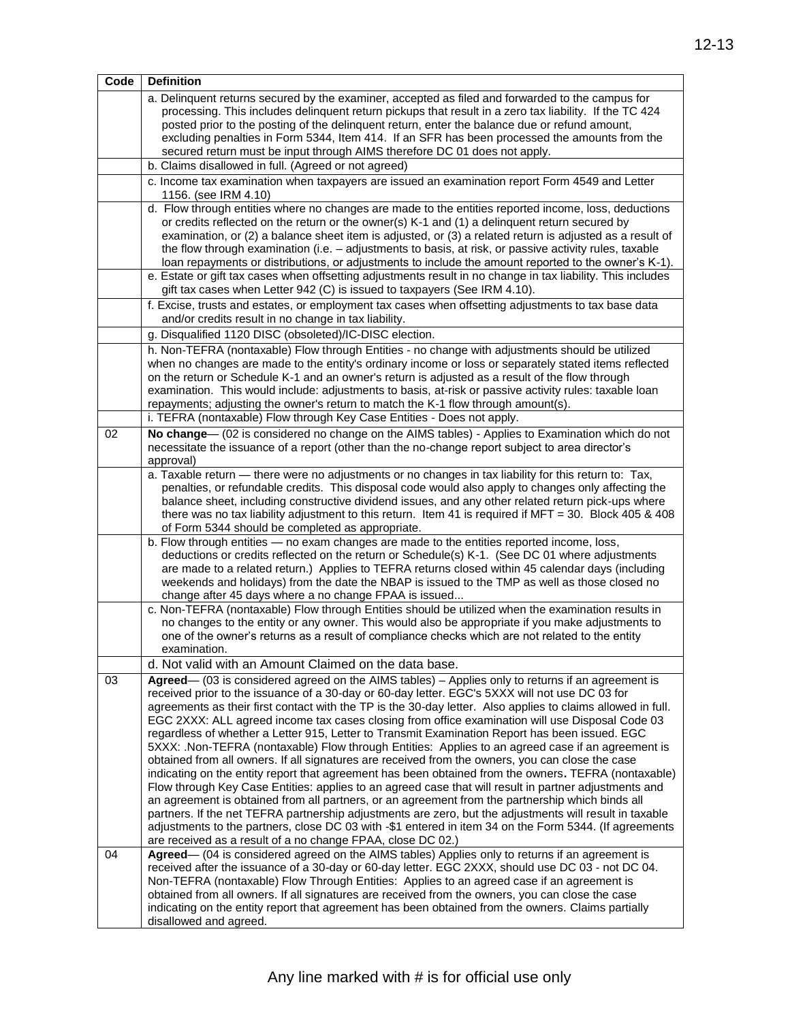| Code | <b>Definition</b>                                                                                                                                                                                                                                                                                                                                                                                                                                                                                                                                                                                                                                                                                                                                                                                                                                                                                                                                                                                                                                                                                                                                                                                                                                                                                                                         |
|------|-------------------------------------------------------------------------------------------------------------------------------------------------------------------------------------------------------------------------------------------------------------------------------------------------------------------------------------------------------------------------------------------------------------------------------------------------------------------------------------------------------------------------------------------------------------------------------------------------------------------------------------------------------------------------------------------------------------------------------------------------------------------------------------------------------------------------------------------------------------------------------------------------------------------------------------------------------------------------------------------------------------------------------------------------------------------------------------------------------------------------------------------------------------------------------------------------------------------------------------------------------------------------------------------------------------------------------------------|
|      | a. Delinquent returns secured by the examiner, accepted as filed and forwarded to the campus for<br>processing. This includes delinquent return pickups that result in a zero tax liability. If the TC 424<br>posted prior to the posting of the delinquent return, enter the balance due or refund amount,<br>excluding penalties in Form 5344, Item 414. If an SFR has been processed the amounts from the<br>secured return must be input through AIMS therefore DC 01 does not apply.                                                                                                                                                                                                                                                                                                                                                                                                                                                                                                                                                                                                                                                                                                                                                                                                                                                 |
|      | b. Claims disallowed in full. (Agreed or not agreed)                                                                                                                                                                                                                                                                                                                                                                                                                                                                                                                                                                                                                                                                                                                                                                                                                                                                                                                                                                                                                                                                                                                                                                                                                                                                                      |
|      | c. Income tax examination when taxpayers are issued an examination report Form 4549 and Letter<br>1156. (see IRM 4.10)                                                                                                                                                                                                                                                                                                                                                                                                                                                                                                                                                                                                                                                                                                                                                                                                                                                                                                                                                                                                                                                                                                                                                                                                                    |
|      | d. Flow through entities where no changes are made to the entities reported income, loss, deductions<br>or credits reflected on the return or the owner(s) K-1 and (1) a delinguent return secured by<br>examination, or (2) a balance sheet item is adjusted, or (3) a related return is adjusted as a result of<br>the flow through examination (i.e. - adjustments to basis, at risk, or passive activity rules, taxable<br>loan repayments or distributions, or adjustments to include the amount reported to the owner's K-1).                                                                                                                                                                                                                                                                                                                                                                                                                                                                                                                                                                                                                                                                                                                                                                                                       |
|      | e. Estate or gift tax cases when offsetting adjustments result in no change in tax liability. This includes<br>gift tax cases when Letter 942 (C) is issued to taxpayers (See IRM 4.10).                                                                                                                                                                                                                                                                                                                                                                                                                                                                                                                                                                                                                                                                                                                                                                                                                                                                                                                                                                                                                                                                                                                                                  |
|      | f. Excise, trusts and estates, or employment tax cases when offsetting adjustments to tax base data<br>and/or credits result in no change in tax liability.                                                                                                                                                                                                                                                                                                                                                                                                                                                                                                                                                                                                                                                                                                                                                                                                                                                                                                                                                                                                                                                                                                                                                                               |
|      | g. Disqualified 1120 DISC (obsoleted)/IC-DISC election.                                                                                                                                                                                                                                                                                                                                                                                                                                                                                                                                                                                                                                                                                                                                                                                                                                                                                                                                                                                                                                                                                                                                                                                                                                                                                   |
|      | h. Non-TEFRA (nontaxable) Flow through Entities - no change with adjustments should be utilized<br>when no changes are made to the entity's ordinary income or loss or separately stated items reflected<br>on the return or Schedule K-1 and an owner's return is adjusted as a result of the flow through<br>examination. This would include: adjustments to basis, at-risk or passive activity rules: taxable loan<br>repayments; adjusting the owner's return to match the K-1 flow through amount(s).                                                                                                                                                                                                                                                                                                                                                                                                                                                                                                                                                                                                                                                                                                                                                                                                                                |
|      | i. TEFRA (nontaxable) Flow through Key Case Entities - Does not apply.                                                                                                                                                                                                                                                                                                                                                                                                                                                                                                                                                                                                                                                                                                                                                                                                                                                                                                                                                                                                                                                                                                                                                                                                                                                                    |
| 02   | No change— (02 is considered no change on the AIMS tables) - Applies to Examination which do not<br>necessitate the issuance of a report (other than the no-change report subject to area director's<br>approval)                                                                                                                                                                                                                                                                                                                                                                                                                                                                                                                                                                                                                                                                                                                                                                                                                                                                                                                                                                                                                                                                                                                         |
|      | a. Taxable return - there were no adjustments or no changes in tax liability for this return to: Tax,<br>penalties, or refundable credits. This disposal code would also apply to changes only affecting the<br>balance sheet, including constructive dividend issues, and any other related return pick-ups where<br>there was no tax liability adjustment to this return. Item 41 is required if MFT = 30. Block 405 & 408<br>of Form 5344 should be completed as appropriate.                                                                                                                                                                                                                                                                                                                                                                                                                                                                                                                                                                                                                                                                                                                                                                                                                                                          |
|      | b. Flow through entities - no exam changes are made to the entities reported income, loss,<br>deductions or credits reflected on the return or Schedule(s) K-1. (See DC 01 where adjustments<br>are made to a related return.) Applies to TEFRA returns closed within 45 calendar days (including<br>weekends and holidays) from the date the NBAP is issued to the TMP as well as those closed no<br>change after 45 days where a no change FPAA is issued                                                                                                                                                                                                                                                                                                                                                                                                                                                                                                                                                                                                                                                                                                                                                                                                                                                                               |
|      | c. Non-TEFRA (nontaxable) Flow through Entities should be utilized when the examination results in<br>no changes to the entity or any owner. This would also be appropriate if you make adjustments to<br>one of the owner's returns as a result of compliance checks which are not related to the entity<br>examination.                                                                                                                                                                                                                                                                                                                                                                                                                                                                                                                                                                                                                                                                                                                                                                                                                                                                                                                                                                                                                 |
|      | d. Not valid with an Amount Claimed on the data base.                                                                                                                                                                                                                                                                                                                                                                                                                                                                                                                                                                                                                                                                                                                                                                                                                                                                                                                                                                                                                                                                                                                                                                                                                                                                                     |
| 03   | Agreed— (03 is considered agreed on the AIMS tables) – Applies only to returns if an agreement is<br>received prior to the issuance of a 30-day or 60-day letter. EGC's 5XXX will not use DC 03 for<br>agreements as their first contact with the TP is the 30-day letter. Also applies to claims allowed in full.<br>EGC 2XXX: ALL agreed income tax cases closing from office examination will use Disposal Code 03<br>regardless of whether a Letter 915, Letter to Transmit Examination Report has been issued. EGC<br>5XXX: .Non-TEFRA (nontaxable) Flow through Entities: Applies to an agreed case if an agreement is<br>obtained from all owners. If all signatures are received from the owners, you can close the case<br>indicating on the entity report that agreement has been obtained from the owners. TEFRA (nontaxable)<br>Flow through Key Case Entities: applies to an agreed case that will result in partner adjustments and<br>an agreement is obtained from all partners, or an agreement from the partnership which binds all<br>partners. If the net TEFRA partnership adjustments are zero, but the adjustments will result in taxable<br>adjustments to the partners, close DC 03 with -\$1 entered in item 34 on the Form 5344. (If agreements<br>are received as a result of a no change FPAA, close DC 02.) |
| 04   | Agreed— (04 is considered agreed on the AIMS tables) Applies only to returns if an agreement is<br>received after the issuance of a 30-day or 60-day letter. EGC 2XXX, should use DC 03 - not DC 04.<br>Non-TEFRA (nontaxable) Flow Through Entities: Applies to an agreed case if an agreement is<br>obtained from all owners. If all signatures are received from the owners, you can close the case<br>indicating on the entity report that agreement has been obtained from the owners. Claims partially<br>disallowed and agreed.                                                                                                                                                                                                                                                                                                                                                                                                                                                                                                                                                                                                                                                                                                                                                                                                    |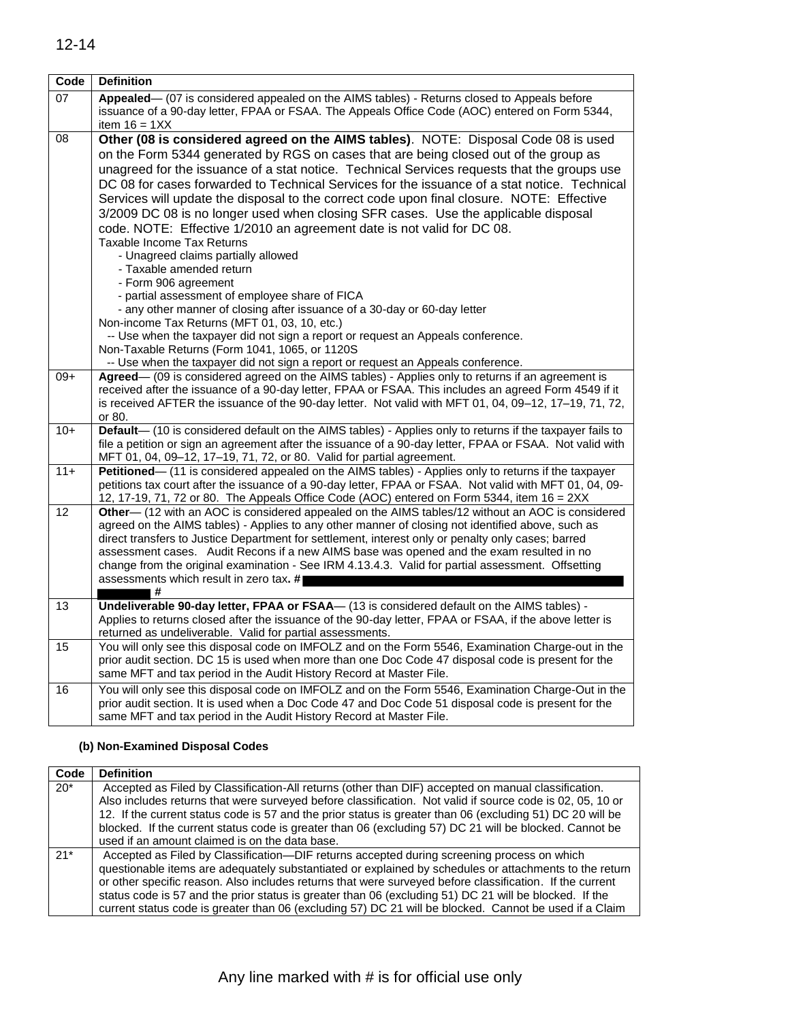| Code  | <b>Definition</b>                                                                                                                                                             |
|-------|-------------------------------------------------------------------------------------------------------------------------------------------------------------------------------|
| 07    | Appealed— (07 is considered appealed on the AIMS tables) - Returns closed to Appeals before                                                                                   |
|       | issuance of a 90-day letter, FPAA or FSAA. The Appeals Office Code (AOC) entered on Form 5344,                                                                                |
| 08    | item $16 = 1XX$<br>Other (08 is considered agreed on the AIMS tables). NOTE: Disposal Code 08 is used                                                                         |
|       | on the Form 5344 generated by RGS on cases that are being closed out of the group as                                                                                          |
|       | unagreed for the issuance of a stat notice. Technical Services requests that the groups use                                                                                   |
|       | DC 08 for cases forwarded to Technical Services for the issuance of a stat notice. Technical                                                                                  |
|       | Services will update the disposal to the correct code upon final closure. NOTE: Effective                                                                                     |
|       | 3/2009 DC 08 is no longer used when closing SFR cases. Use the applicable disposal                                                                                            |
|       | code. NOTE: Effective 1/2010 an agreement date is not valid for DC 08.                                                                                                        |
|       | Taxable Income Tax Returns                                                                                                                                                    |
|       | - Unagreed claims partially allowed                                                                                                                                           |
|       | - Taxable amended return                                                                                                                                                      |
|       | - Form 906 agreement                                                                                                                                                          |
|       | - partial assessment of employee share of FICA                                                                                                                                |
|       | - any other manner of closing after issuance of a 30-day or 60-day letter                                                                                                     |
|       | Non-income Tax Returns (MFT 01, 03, 10, etc.)                                                                                                                                 |
|       | -- Use when the taxpayer did not sign a report or request an Appeals conference.<br>Non-Taxable Returns (Form 1041, 1065, or 1120S                                            |
|       | -- Use when the taxpayer did not sign a report or request an Appeals conference.                                                                                              |
| $09+$ | Agreed— (09 is considered agreed on the AIMS tables) - Applies only to returns if an agreement is                                                                             |
|       | received after the issuance of a 90-day letter, FPAA or FSAA. This includes an agreed Form 4549 if it                                                                         |
|       | is received AFTER the issuance of the 90-day letter. Not valid with MFT 01, 04, 09-12, 17-19, 71, 72,                                                                         |
|       | or 80.                                                                                                                                                                        |
| $10+$ | Default-(10 is considered default on the AIMS tables) - Applies only to returns if the taxpayer fails to                                                                      |
|       | file a petition or sign an agreement after the issuance of a 90-day letter, FPAA or FSAA. Not valid with                                                                      |
| $11+$ | MFT 01, 04, 09-12, 17-19, 71, 72, or 80. Valid for partial agreement.<br>Petitioned— (11 is considered appealed on the AIMS tables) - Applies only to returns if the taxpayer |
|       | petitions tax court after the issuance of a 90-day letter, FPAA or FSAA. Not valid with MFT 01, 04, 09-                                                                       |
|       | 12, 17-19, 71, 72 or 80. The Appeals Office Code (AOC) entered on Form 5344, item 16 = 2XX                                                                                    |
| 12    | Other— (12 with an AOC is considered appealed on the AIMS tables/12 without an AOC is considered                                                                              |
|       | agreed on the AIMS tables) - Applies to any other manner of closing not identified above, such as                                                                             |
|       | direct transfers to Justice Department for settlement, interest only or penalty only cases; barred                                                                            |
|       | assessment cases. Audit Recons if a new AIMS base was opened and the exam resulted in no                                                                                      |
|       | change from the original examination - See IRM 4.13.4.3. Valid for partial assessment. Offsetting                                                                             |
|       | assessments which result in zero tax. #■<br>l #                                                                                                                               |
| 13    | Undeliverable 90-day letter, FPAA or FSAA— (13 is considered default on the AIMS tables) -                                                                                    |
|       | Applies to returns closed after the issuance of the 90-day letter, FPAA or FSAA, if the above letter is                                                                       |
|       | returned as undeliverable. Valid for partial assessments.                                                                                                                     |
| 15    | You will only see this disposal code on IMFOLZ and on the Form 5546, Examination Charge-out in the                                                                            |
|       | prior audit section. DC 15 is used when more than one Doc Code 47 disposal code is present for the                                                                            |
|       | same MFT and tax period in the Audit History Record at Master File.                                                                                                           |
| 16    | You will only see this disposal code on IMFOLZ and on the Form 5546, Examination Charge-Out in the                                                                            |
|       | prior audit section. It is used when a Doc Code 47 and Doc Code 51 disposal code is present for the<br>same MFT and tax period in the Audit History Record at Master File.    |
|       |                                                                                                                                                                               |

### **(b) Non-Examined Disposal Codes**

| Code  | <b>Definition</b>                                                                                                                                                                                                                                                                                                                                                                                                                                                                                                                       |
|-------|-----------------------------------------------------------------------------------------------------------------------------------------------------------------------------------------------------------------------------------------------------------------------------------------------------------------------------------------------------------------------------------------------------------------------------------------------------------------------------------------------------------------------------------------|
| $20*$ | Accepted as Filed by Classification-All returns (other than DIF) accepted on manual classification.<br>Also includes returns that were surveyed before classification. Not valid if source code is 02, 05, 10 or<br>12. If the current status code is 57 and the prior status is greater than 06 (excluding 51) DC 20 will be                                                                                                                                                                                                           |
|       | blocked. If the current status code is greater than 06 (excluding 57) DC 21 will be blocked. Cannot be<br>used if an amount claimed is on the data base.                                                                                                                                                                                                                                                                                                                                                                                |
| $21*$ | Accepted as Filed by Classification--- DIF returns accepted during screening process on which<br>questionable items are adequately substantiated or explained by schedules or attachments to the return<br>or other specific reason. Also includes returns that were surveyed before classification. If the current<br>status code is 57 and the prior status is greater than 06 (excluding 51) DC 21 will be blocked. If the<br>current status code is greater than 06 (excluding 57) DC 21 will be blocked. Cannot be used if a Claim |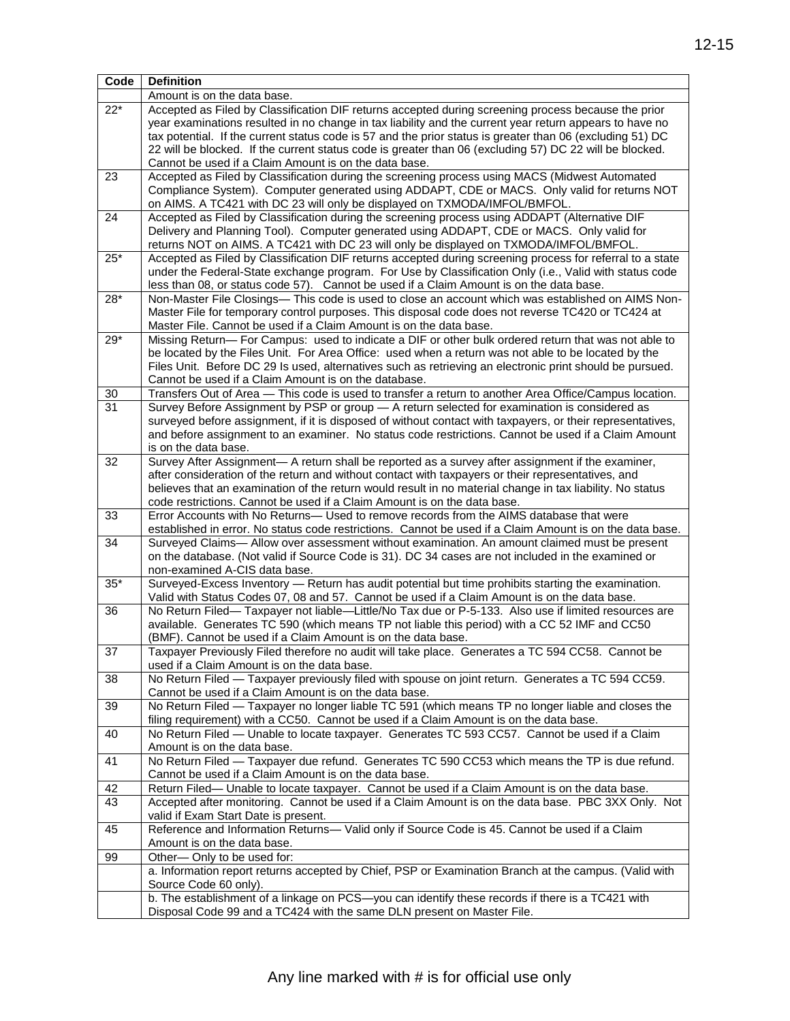| Code     | <b>Definition</b>                                                                                                                                                                                                   |
|----------|---------------------------------------------------------------------------------------------------------------------------------------------------------------------------------------------------------------------|
|          | Amount is on the data base.                                                                                                                                                                                         |
| $22*$    | Accepted as Filed by Classification DIF returns accepted during screening process because the prior                                                                                                                 |
|          | year examinations resulted in no change in tax liability and the current year return appears to have no                                                                                                             |
|          | tax potential. If the current status code is 57 and the prior status is greater than 06 (excluding 51) DC                                                                                                           |
|          | 22 will be blocked. If the current status code is greater than 06 (excluding 57) DC 22 will be blocked.                                                                                                             |
|          | Cannot be used if a Claim Amount is on the data base.                                                                                                                                                               |
| 23       | Accepted as Filed by Classification during the screening process using MACS (Midwest Automated                                                                                                                      |
|          | Compliance System). Computer generated using ADDAPT, CDE or MACS. Only valid for returns NOT                                                                                                                        |
|          | on AIMS. A TC421 with DC 23 will only be displayed on TXMODA/IMFOL/BMFOL.                                                                                                                                           |
| 24       | Accepted as Filed by Classification during the screening process using ADDAPT (Alternative DIF                                                                                                                      |
|          | Delivery and Planning Tool). Computer generated using ADDAPT, CDE or MACS. Only valid for                                                                                                                           |
|          | returns NOT on AIMS. A TC421 with DC 23 will only be displayed on TXMODA/IMFOL/BMFOL.                                                                                                                               |
| $25*$    | Accepted as Filed by Classification DIF returns accepted during screening process for referral to a state<br>under the Federal-State exchange program. For Use by Classification Only (i.e., Valid with status code |
|          | less than 08, or status code 57). Cannot be used if a Claim Amount is on the data base.                                                                                                                             |
| $28*$    | Non-Master File Closings— This code is used to close an account which was established on AIMS Non-                                                                                                                  |
|          | Master File for temporary control purposes. This disposal code does not reverse TC420 or TC424 at                                                                                                                   |
|          | Master File. Cannot be used if a Claim Amount is on the data base.                                                                                                                                                  |
| $29*$    | Missing Return- For Campus: used to indicate a DIF or other bulk ordered return that was not able to                                                                                                                |
|          | be located by the Files Unit. For Area Office: used when a return was not able to be located by the                                                                                                                 |
|          | Files Unit. Before DC 29 Is used, alternatives such as retrieving an electronic print should be pursued.                                                                                                            |
|          | Cannot be used if a Claim Amount is on the database.                                                                                                                                                                |
| 30       | Transfers Out of Area - This code is used to transfer a return to another Area Office/Campus location.                                                                                                              |
| 31       | Survey Before Assignment by PSP or group - A return selected for examination is considered as                                                                                                                       |
|          | surveyed before assignment, if it is disposed of without contact with taxpayers, or their representatives,                                                                                                          |
|          | and before assignment to an examiner. No status code restrictions. Cannot be used if a Claim Amount                                                                                                                 |
|          | is on the data base.                                                                                                                                                                                                |
| 32       | Survey After Assignment— A return shall be reported as a survey after assignment if the examiner,                                                                                                                   |
|          | after consideration of the return and without contact with taxpayers or their representatives, and                                                                                                                  |
|          | believes that an examination of the return would result in no material change in tax liability. No status                                                                                                           |
|          | code restrictions. Cannot be used if a Claim Amount is on the data base.                                                                                                                                            |
| 33       | Error Accounts with No Returns— Used to remove records from the AIMS database that were                                                                                                                             |
| 34       | established in error. No status code restrictions. Cannot be used if a Claim Amount is on the data base.                                                                                                            |
|          | Surveyed Claims— Allow over assessment without examination. An amount claimed must be present<br>on the database. (Not valid if Source Code is 31). DC 34 cases are not included in the examined or                 |
|          | non-examined A-CIS data base.                                                                                                                                                                                       |
| $35*$    | Surveyed-Excess Inventory - Return has audit potential but time prohibits starting the examination.                                                                                                                 |
|          | Valid with Status Codes 07, 08 and 57. Cannot be used if a Claim Amount is on the data base.                                                                                                                        |
| 36       | No Return Filed- Taxpayer not liable-Little/No Tax due or P-5-133. Also use if limited resources are                                                                                                                |
|          | available. Generates TC 590 (which means TP not liable this period) with a CC 52 IMF and CC50                                                                                                                       |
|          | (BMF). Cannot be used if a Claim Amount is on the data base.                                                                                                                                                        |
| 37       | Taxpayer Previously Filed therefore no audit will take place. Generates a TC 594 CC58. Cannot be                                                                                                                    |
|          | used if a Claim Amount is on the data base.                                                                                                                                                                         |
| 38       | No Return Filed - Taxpayer previously filed with spouse on joint return. Generates a TC 594 CC59.                                                                                                                   |
|          | Cannot be used if a Claim Amount is on the data base.                                                                                                                                                               |
| 39       | No Return Filed — Taxpayer no longer liable TC 591 (which means TP no longer liable and closes the                                                                                                                  |
|          | filing requirement) with a CC50. Cannot be used if a Claim Amount is on the data base.                                                                                                                              |
| 40       | No Return Filed - Unable to locate taxpayer. Generates TC 593 CC57. Cannot be used if a Claim                                                                                                                       |
|          | Amount is on the data base.                                                                                                                                                                                         |
| 41       | No Return Filed - Taxpayer due refund. Generates TC 590 CC53 which means the TP is due refund.                                                                                                                      |
|          | Cannot be used if a Claim Amount is on the data base.                                                                                                                                                               |
| 42<br>43 | Return Filed— Unable to locate taxpayer. Cannot be used if a Claim Amount is on the data base.                                                                                                                      |
|          | Accepted after monitoring. Cannot be used if a Claim Amount is on the data base. PBC 3XX Only. Not<br>valid if Exam Start Date is present.                                                                          |
| 45       | Reference and Information Returns- Valid only if Source Code is 45. Cannot be used if a Claim                                                                                                                       |
|          | Amount is on the data base.                                                                                                                                                                                         |
| 99       | Other-Only to be used for:                                                                                                                                                                                          |
|          | a. Information report returns accepted by Chief, PSP or Examination Branch at the campus. (Valid with                                                                                                               |
|          | Source Code 60 only).                                                                                                                                                                                               |
|          | b. The establishment of a linkage on PCS-you can identify these records if there is a TC421 with                                                                                                                    |
|          | Disposal Code 99 and a TC424 with the same DLN present on Master File.                                                                                                                                              |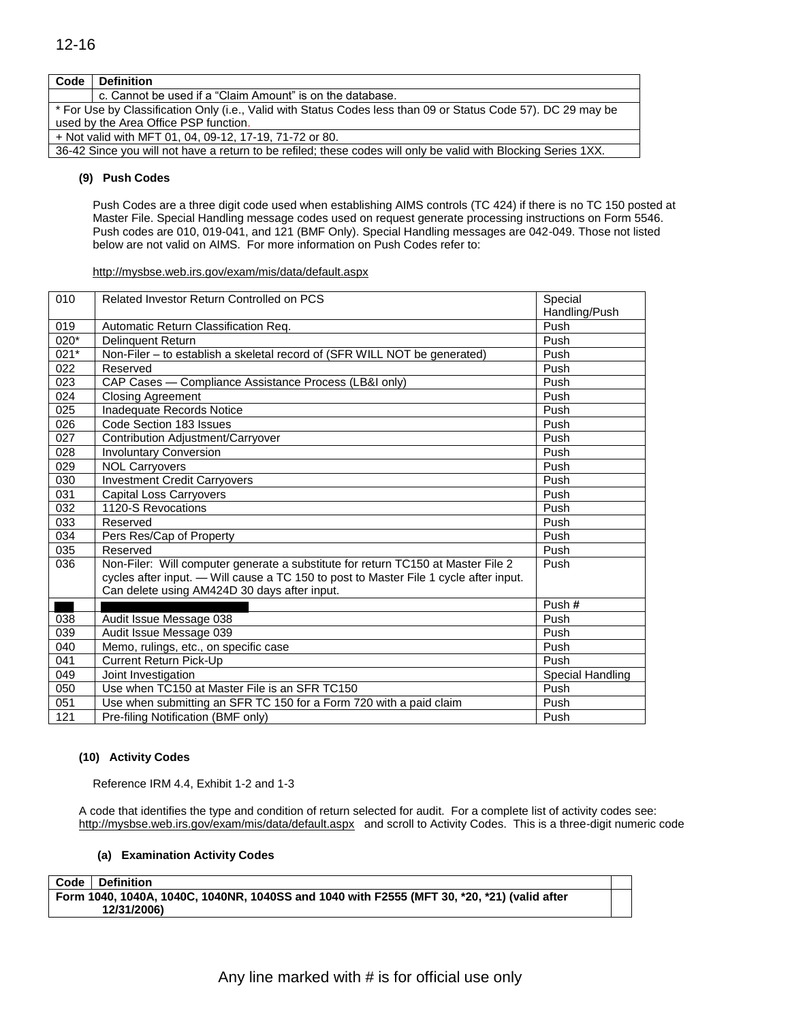| Code | <b>Definition</b>                                                                                              |  |
|------|----------------------------------------------------------------------------------------------------------------|--|
|      | c. Cannot be used if a "Claim Amount" is on the database.                                                      |  |
|      | * For Use by Classification Only (i.e., Valid with Status Codes less than 09 or Status Code 57). DC 29 may be  |  |
|      | used by the Area Office PSP function.                                                                          |  |
|      | + Not valid with MFT 01, 04, 09-12, 17-19, 71-72 or 80.                                                        |  |
|      | 36-42 Since you will not have a return to be refiled; these codes will only be valid with Blocking Series 1XX. |  |

#### **(9) Push Codes**

Push Codes are a three digit code used when establishing AIMS controls (TC 424) if there is no TC 150 posted at Master File. Special Handling message codes used on request generate processing instructions on Form 5546. Push codes are 010, 019-041, and 121 (BMF Only). Special Handling messages are 042-049. Those not listed below are not valid on AIMS. For more information on Push Codes refer to:

#### <http://mysbse.web.irs.gov/exam/mis/data/default.aspx>

| 010              | Related Investor Return Controlled on PCS                                                                                                                                 | Special          |
|------------------|---------------------------------------------------------------------------------------------------------------------------------------------------------------------------|------------------|
|                  |                                                                                                                                                                           | Handling/Push    |
| 019              | Automatic Return Classification Req.                                                                                                                                      | Push             |
| 020*             | Delinquent Return                                                                                                                                                         | Push             |
| $021*$           | Non-Filer - to establish a skeletal record of (SFR WILL NOT be generated)                                                                                                 | Push             |
| 022              | Reserved                                                                                                                                                                  | Push             |
| 023              | CAP Cases - Compliance Assistance Process (LB&I only)                                                                                                                     | Push             |
| 024              | <b>Closing Agreement</b>                                                                                                                                                  | Push             |
| $\overline{025}$ | Inadequate Records Notice                                                                                                                                                 | Push             |
| 026              | Code Section 183 Issues                                                                                                                                                   | Push             |
| 027              | Contribution Adjustment/Carryover                                                                                                                                         | Push             |
| 028              | <b>Involuntary Conversion</b>                                                                                                                                             | Push             |
| 029              | <b>NOL Carryovers</b>                                                                                                                                                     | Push             |
| 030              | <b>Investment Credit Carryovers</b>                                                                                                                                       | Push             |
| 031              | <b>Capital Loss Carryovers</b>                                                                                                                                            | Push             |
| 032              | 1120-S Revocations                                                                                                                                                        | Push             |
| 033              | Reserved                                                                                                                                                                  | Push             |
| 034              | Pers Res/Cap of Property                                                                                                                                                  | Push             |
| 035              | Reserved                                                                                                                                                                  | Push             |
| 036              | Non-Filer: Will computer generate a substitute for return TC150 at Master File 2<br>cycles after input. — Will cause a TC 150 to post to Master File 1 cycle after input. | Push             |
|                  | Can delete using AM424D 30 days after input.                                                                                                                              |                  |
|                  |                                                                                                                                                                           | Push#            |
| 038              | Audit Issue Message 038                                                                                                                                                   | Push             |
| 039              | Audit Issue Message 039                                                                                                                                                   | Push             |
| 040              | Memo, rulings, etc., on specific case                                                                                                                                     | Push             |
| 041              | Current Return Pick-Up                                                                                                                                                    | Push             |
| 049              | Joint Investigation                                                                                                                                                       | Special Handling |
| 050              | Use when TC150 at Master File is an SFR TC150                                                                                                                             | Push             |
| 051              | Use when submitting an SFR TC 150 for a Form 720 with a paid claim                                                                                                        | Push             |
| 121              | Pre-filing Notification (BMF only)                                                                                                                                        | Push             |

#### **(10) Activity Codes**

Reference IRM 4.4, Exhibit 1-2 and 1-3

A code that identifies the type and condition of return selected for audit. For a complete list of activity codes see: <http://mysbse.web.irs.gov/exam/mis/data/default.aspx>and scroll to Activity Codes. This is a three-digit numeric code

#### **(a) Examination Activity Codes**

**Code Definition Form 1040, 1040A, 1040C, 1040NR, 1040SS and 1040 with F2555 (MFT 30, \*20, \*21) (valid after 12/31/2006)**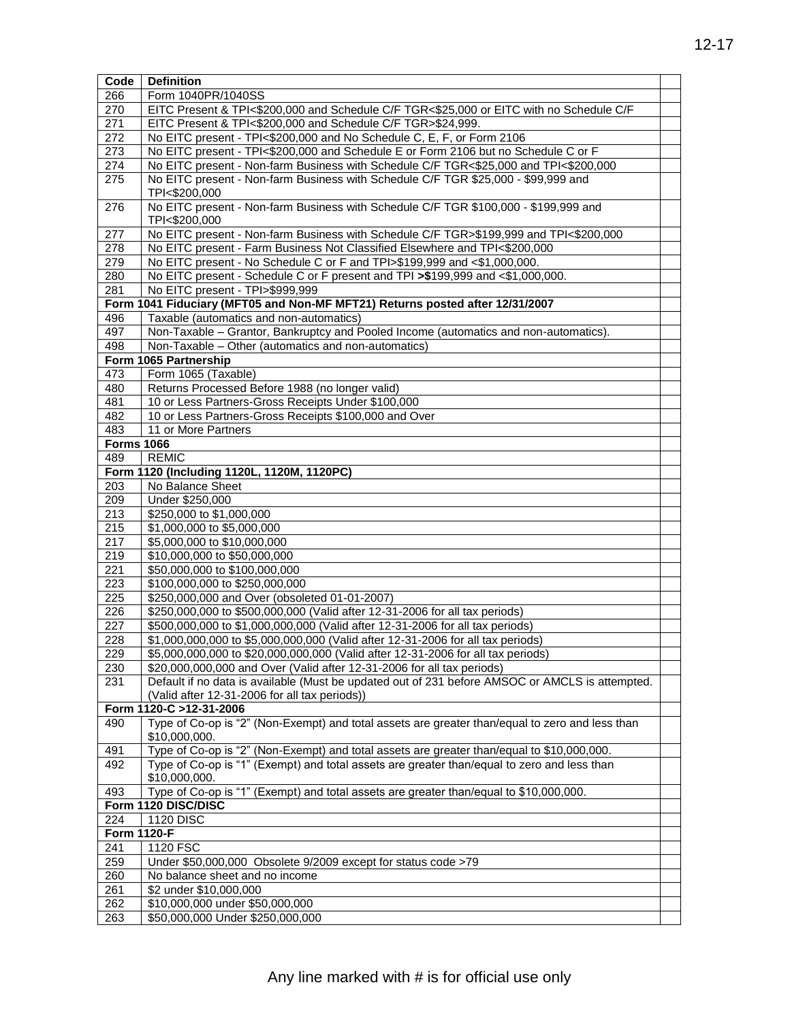| Code               | <b>Definition</b>                                                                               |  |
|--------------------|-------------------------------------------------------------------------------------------------|--|
| 266                | Form 1040PR/1040SS                                                                              |  |
| 270                | EITC Present & TPI<\$200,000 and Schedule C/F TGR<\$25,000 or EITC with no Schedule C/F         |  |
| 271                | EITC Present & TPI<\$200,000 and Schedule C/F TGR>\$24,999.                                     |  |
| 272                | No EITC present - TPI<\$200,000 and No Schedule C, E, F, or Form 2106                           |  |
| 273                | No EITC present - TPI<\$200,000 and Schedule E or Form 2106 but no Schedule C or F              |  |
| 274                | No EITC present - Non-farm Business with Schedule C/F TGR<\$25,000 and TPI<\$200,000            |  |
| 275                | No EITC present - Non-farm Business with Schedule C/F TGR \$25,000 - \$99,999 and               |  |
|                    | TPI<\$200,000                                                                                   |  |
| 276                | No EITC present - Non-farm Business with Schedule C/F TGR \$100,000 - \$199,999 and             |  |
|                    | TPI<\$200,000                                                                                   |  |
| 277                | No EITC present - Non-farm Business with Schedule C/F TGR>\$199,999 and TPI<\$200,000           |  |
| 278                | No EITC present - Farm Business Not Classified Elsewhere and TPI<\$200,000                      |  |
| 279                | No EITC present - No Schedule C or F and TPI>\$199,999 and <\$1,000,000.                        |  |
| 280                | No EITC present - Schedule C or F present and TPI >\$199,999 and <\$1,000,000.                  |  |
| 281                | No EITC present - TPI>\$999,999                                                                 |  |
|                    | Form 1041 Fiduciary (MFT05 and Non-MF MFT21) Returns posted after 12/31/2007                    |  |
| 496                | Taxable (automatics and non-automatics)                                                         |  |
| 497                | Non-Taxable - Grantor, Bankruptcy and Pooled Income (automatics and non-automatics).            |  |
| 498                | Non-Taxable - Other (automatics and non-automatics)                                             |  |
|                    | Form 1065 Partnership                                                                           |  |
| 473                | Form 1065 (Taxable)                                                                             |  |
|                    |                                                                                                 |  |
| 480                | Returns Processed Before 1988 (no longer valid)                                                 |  |
| 481                | 10 or Less Partners-Gross Receipts Under \$100,000                                              |  |
| 482                | 10 or Less Partners-Gross Receipts \$100,000 and Over                                           |  |
| 483                | 11 or More Partners                                                                             |  |
| <b>Forms 1066</b>  |                                                                                                 |  |
| 489                | <b>REMIC</b>                                                                                    |  |
|                    | Form 1120 (Including 1120L, 1120M, 1120PC)                                                      |  |
| 203                | No Balance Sheet                                                                                |  |
| 209                | Under \$250,000                                                                                 |  |
| 213                | \$250,000 to \$1,000,000                                                                        |  |
| 215                | \$1,000,000 to \$5,000,000                                                                      |  |
| 217                | \$5,000,000 to \$10,000,000                                                                     |  |
| 219                | \$10,000,000 to \$50,000,000                                                                    |  |
| 221                | \$50,000,000 to \$100,000,000                                                                   |  |
| 223                | \$100,000,000 to \$250,000,000                                                                  |  |
| 225                | \$250,000,000 and Over (obsoleted 01-01-2007)                                                   |  |
| 226                | \$250,000,000 to \$500,000,000 (Valid after 12-31-2006 for all tax periods)                     |  |
| 227                | \$500,000,000 to \$1,000,000,000 (Valid after 12-31-2006 for all tax periods)                   |  |
| 228                | \$1,000,000,000 to \$5,000,000,000 (Valid after 12-31-2006 for all tax periods)                 |  |
| 229                | \$5,000,000,000 to \$20,000,000,000 (Valid after 12-31-2006 for all tax periods)                |  |
| 230                | \$20,000,000,000 and Over (Valid after 12-31-2006 for all tax periods)                          |  |
| 231                | Default if no data is available (Must be updated out of 231 before AMSOC or AMCLS is attempted. |  |
|                    | (Valid after 12-31-2006 for all tax periods))                                                   |  |
|                    | Form 1120-C >12-31-2006                                                                         |  |
| 490                | Type of Co-op is "2" (Non-Exempt) and total assets are greater than/equal to zero and less than |  |
|                    | \$10,000,000.                                                                                   |  |
| 491                | Type of Co-op is "2" (Non-Exempt) and total assets are greater than/equal to \$10,000,000.      |  |
| 492                | Type of Co-op is "1" (Exempt) and total assets are greater than/equal to zero and less than     |  |
|                    | \$10,000,000.                                                                                   |  |
| 493                | Type of Co-op is "1" (Exempt) and total assets are greater than/equal to \$10,000,000.          |  |
|                    | Form 1120 DISC/DISC                                                                             |  |
| 224                | <b>1120 DISC</b>                                                                                |  |
| <b>Form 1120-F</b> |                                                                                                 |  |
| 241                | 1120 FSC                                                                                        |  |
| 259                | Under \$50,000,000 Obsolete 9/2009 except for status code >79                                   |  |
|                    |                                                                                                 |  |
| 260                | No balance sheet and no income                                                                  |  |
| 261                | \$2 under \$10,000,000                                                                          |  |
| 262                | \$10,000,000 under \$50,000,000                                                                 |  |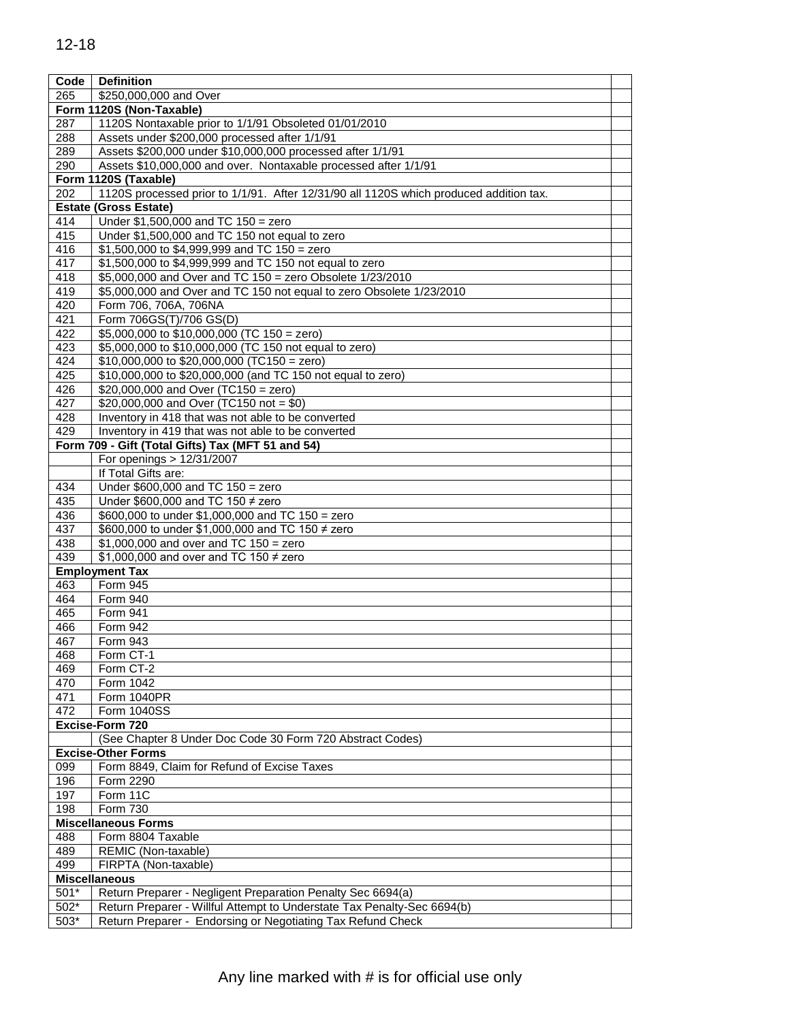| Code   | <b>Definition</b>                                                                      |  |
|--------|----------------------------------------------------------------------------------------|--|
| 265    | \$250,000,000 and Over                                                                 |  |
|        | Form 1120S (Non-Taxable)                                                               |  |
| 287    | 1120S Nontaxable prior to 1/1/91 Obsoleted 01/01/2010                                  |  |
| 288    | Assets under \$200,000 processed after 1/1/91                                          |  |
| 289    | Assets \$200,000 under \$10,000,000 processed after 1/1/91                             |  |
| 290    | Assets \$10,000,000 and over. Nontaxable processed after 1/1/91                        |  |
|        | Form 1120S (Taxable)                                                                   |  |
| 202    | 1120S processed prior to 1/1/91. After 12/31/90 all 1120S which produced addition tax. |  |
|        | <b>Estate (Gross Estate)</b>                                                           |  |
| 414    | Under $$1,500,000$ and TC $150 =$ zero                                                 |  |
| 415    | Under \$1,500,000 and TC 150 not equal to zero                                         |  |
| 416    | \$1,500,000 to \$4,999,999 and TC $150 =$ zero                                         |  |
| 417    | \$1,500,000 to \$4,999,999 and TC 150 not equal to zero                                |  |
| 418    | \$5,000,000 and Over and TC 150 = zero Obsolete 1/23/2010                              |  |
| 419    | \$5,000,000 and Over and TC 150 not equal to zero Obsolete 1/23/2010                   |  |
| 420    | Form 706, 706A, 706NA                                                                  |  |
| 421    | Form 706GS(T)/706 GS(D)                                                                |  |
| 422    | \$5,000,000 to \$10,000,000 (TC 150 = zero)                                            |  |
| 423    | \$5,000,000 to \$10,000,000 (TC 150 not equal to zero)                                 |  |
| 424    | $$10,000,000$ to $$20,000,000$ (TC150 = zero)                                          |  |
| 425    | \$10,000,000 to \$20,000,000 (and TC 150 not equal to zero)                            |  |
|        |                                                                                        |  |
| 426    | \$20,000,000 and Over (TC150 = zero)                                                   |  |
| 427    | \$20,000,000 and Over (TC150 not = \$0)                                                |  |
| 428    | Inventory in 418 that was not able to be converted                                     |  |
| 429    | Inventory in 419 that was not able to be converted                                     |  |
|        | Form 709 - Gift (Total Gifts) Tax (MFT 51 and 54)                                      |  |
|        | For openings > 12/31/2007                                                              |  |
|        | If Total Gifts are:                                                                    |  |
| 434    | Under $$600,000$ and TC $150 =$ zero                                                   |  |
| 435    | Under \$600,000 and TC 150 $\neq$ zero                                                 |  |
| 436    | \$600,000 to under \$1,000,000 and TC 150 = zero                                       |  |
| 437    | \$600,000 to under \$1,000,000 and TC 150 ≠ zero                                       |  |
| 438    | \$1,000,000 and over and TC $150 =$ zero                                               |  |
| 439    | \$1,000,000 and over and TC 150 $\neq$ zero                                            |  |
|        | <b>Employment Tax</b>                                                                  |  |
| 463    | Form 945                                                                               |  |
| 464    | Form 940                                                                               |  |
| 465    | Form 941                                                                               |  |
| 466    | Form 942                                                                               |  |
| 467    | Form 943                                                                               |  |
| 468    | Form CT-1                                                                              |  |
| 469    | Form CT-2                                                                              |  |
| 470    | Form 1042                                                                              |  |
| 471    | Form 1040PR                                                                            |  |
| 472    | Form 1040SS                                                                            |  |
|        | Excise-Form 720                                                                        |  |
|        | (See Chapter 8 Under Doc Code 30 Form 720 Abstract Codes)                              |  |
|        | <b>Excise-Other Forms</b>                                                              |  |
|        |                                                                                        |  |
| 099    | Form 8849, Claim for Refund of Excise Taxes                                            |  |
| 196    | Form 2290                                                                              |  |
| 197    | Form 11C                                                                               |  |
| 198    | Form 730                                                                               |  |
|        | <b>Miscellaneous Forms</b>                                                             |  |
| 488    | Form 8804 Taxable                                                                      |  |
| 489    | REMIC (Non-taxable)                                                                    |  |
| 499    | FIRPTA (Non-taxable)                                                                   |  |
|        | <b>Miscellaneous</b>                                                                   |  |
| 501*   | Return Preparer - Negligent Preparation Penalty Sec 6694(a)                            |  |
| 502*   | Return Preparer - Willful Attempt to Understate Tax Penalty-Sec 6694(b)                |  |
| $503*$ | Return Preparer - Endorsing or Negotiating Tax Refund Check                            |  |
|        |                                                                                        |  |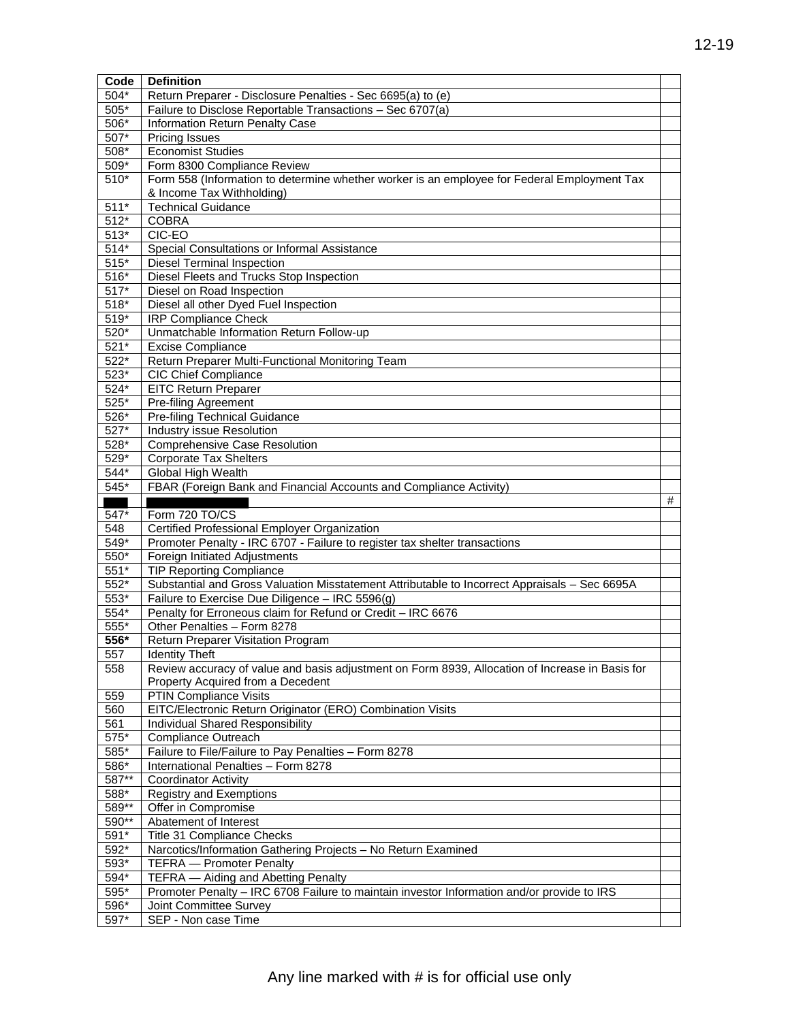| Code   | <b>Definition</b>                                                                               |   |  |  |  |  |
|--------|-------------------------------------------------------------------------------------------------|---|--|--|--|--|
| $504*$ | Return Preparer - Disclosure Penalties - Sec 6695(a) to (e)                                     |   |  |  |  |  |
| $505*$ | Failure to Disclose Reportable Transactions - Sec 6707(a)                                       |   |  |  |  |  |
| 506*   | Information Return Penalty Case                                                                 |   |  |  |  |  |
| 507*   | <b>Pricing Issues</b>                                                                           |   |  |  |  |  |
| 508*   | <b>Economist Studies</b>                                                                        |   |  |  |  |  |
| 509*   | Form 8300 Compliance Review                                                                     |   |  |  |  |  |
| 510*   | Form 558 (Information to determine whether worker is an employee for Federal Employment Tax     |   |  |  |  |  |
|        | & Income Tax Withholding)                                                                       |   |  |  |  |  |
| $511*$ | <b>Technical Guidance</b>                                                                       |   |  |  |  |  |
| $512*$ | <b>COBRA</b>                                                                                    |   |  |  |  |  |
| $513*$ | CIC-EO                                                                                          |   |  |  |  |  |
| $514*$ | Special Consultations or Informal Assistance                                                    |   |  |  |  |  |
| $515*$ | <b>Diesel Terminal Inspection</b>                                                               |   |  |  |  |  |
| 516*   | Diesel Fleets and Trucks Stop Inspection                                                        |   |  |  |  |  |
| $517*$ | Diesel on Road Inspection                                                                       |   |  |  |  |  |
| 518*   | Diesel all other Dyed Fuel Inspection                                                           |   |  |  |  |  |
| 519*   | <b>IRP Compliance Check</b>                                                                     |   |  |  |  |  |
| 520*   | Unmatchable Information Return Follow-up                                                        |   |  |  |  |  |
| $521*$ | <b>Excise Compliance</b>                                                                        |   |  |  |  |  |
| $522*$ | Return Preparer Multi-Functional Monitoring Team                                                |   |  |  |  |  |
| 523*   | <b>CIC Chief Compliance</b>                                                                     |   |  |  |  |  |
| 524*   | <b>EITC Return Preparer</b>                                                                     |   |  |  |  |  |
| $525*$ | Pre-filing Agreement                                                                            |   |  |  |  |  |
| 526*   | Pre-filing Technical Guidance                                                                   |   |  |  |  |  |
| 527*   | Industry issue Resolution                                                                       |   |  |  |  |  |
| 528*   | Comprehensive Case Resolution                                                                   |   |  |  |  |  |
| 529*   | <b>Corporate Tax Shelters</b>                                                                   |   |  |  |  |  |
| 544*   | Global High Wealth                                                                              |   |  |  |  |  |
| 545*   | FBAR (Foreign Bank and Financial Accounts and Compliance Activity)                              |   |  |  |  |  |
|        |                                                                                                 | # |  |  |  |  |
| 547*   | Form 720 TO/CS                                                                                  |   |  |  |  |  |
| 548    | Certified Professional Employer Organization                                                    |   |  |  |  |  |
| 549*   | Promoter Penalty - IRC 6707 - Failure to register tax shelter transactions                      |   |  |  |  |  |
| 550*   | Foreign Initiated Adjustments                                                                   |   |  |  |  |  |
| 551*   | <b>TIP Reporting Compliance</b>                                                                 |   |  |  |  |  |
| 552*   | Substantial and Gross Valuation Misstatement Attributable to Incorrect Appraisals - Sec 6695A   |   |  |  |  |  |
| 553*   | Failure to Exercise Due Diligence - IRC 5596(g)                                                 |   |  |  |  |  |
| 554*   | Penalty for Erroneous claim for Refund or Credit - IRC 6676                                     |   |  |  |  |  |
| 555*   | Other Penalties - Form 8278                                                                     |   |  |  |  |  |
| 556*   | Return Preparer Visitation Program                                                              |   |  |  |  |  |
| 557    | <b>Identity Theft</b>                                                                           |   |  |  |  |  |
| 558    | Review accuracy of value and basis adjustment on Form 8939, Allocation of Increase in Basis for |   |  |  |  |  |
|        | Property Acquired from a Decedent                                                               |   |  |  |  |  |
| 559    | <b>PTIN Compliance Visits</b>                                                                   |   |  |  |  |  |
| 560    | EITC/Electronic Return Originator (ERO) Combination Visits                                      |   |  |  |  |  |
| 561    | Individual Shared Responsibility                                                                |   |  |  |  |  |
| 575*   | Compliance Outreach                                                                             |   |  |  |  |  |
| 585*   | Failure to File/Failure to Pay Penalties - Form 8278                                            |   |  |  |  |  |
| 586*   | International Penalties - Form 8278                                                             |   |  |  |  |  |
| 587**  | <b>Coordinator Activity</b>                                                                     |   |  |  |  |  |
| 588*   | <b>Registry and Exemptions</b>                                                                  |   |  |  |  |  |
| 589**  | Offer in Compromise                                                                             |   |  |  |  |  |
| 590**  | Abatement of Interest                                                                           |   |  |  |  |  |
| 591*   | Title 31 Compliance Checks                                                                      |   |  |  |  |  |
| 592*   | Narcotics/Information Gathering Projects - No Return Examined                                   |   |  |  |  |  |
| 593*   | <b>TEFRA</b> - Promoter Penalty                                                                 |   |  |  |  |  |
| 594*   | TEFRA - Aiding and Abetting Penalty                                                             |   |  |  |  |  |
| 595*   | Promoter Penalty - IRC 6708 Failure to maintain investor Information and/or provide to IRS      |   |  |  |  |  |
| 596*   | Joint Committee Survey                                                                          |   |  |  |  |  |
| 597*   | SEP - Non case Time                                                                             |   |  |  |  |  |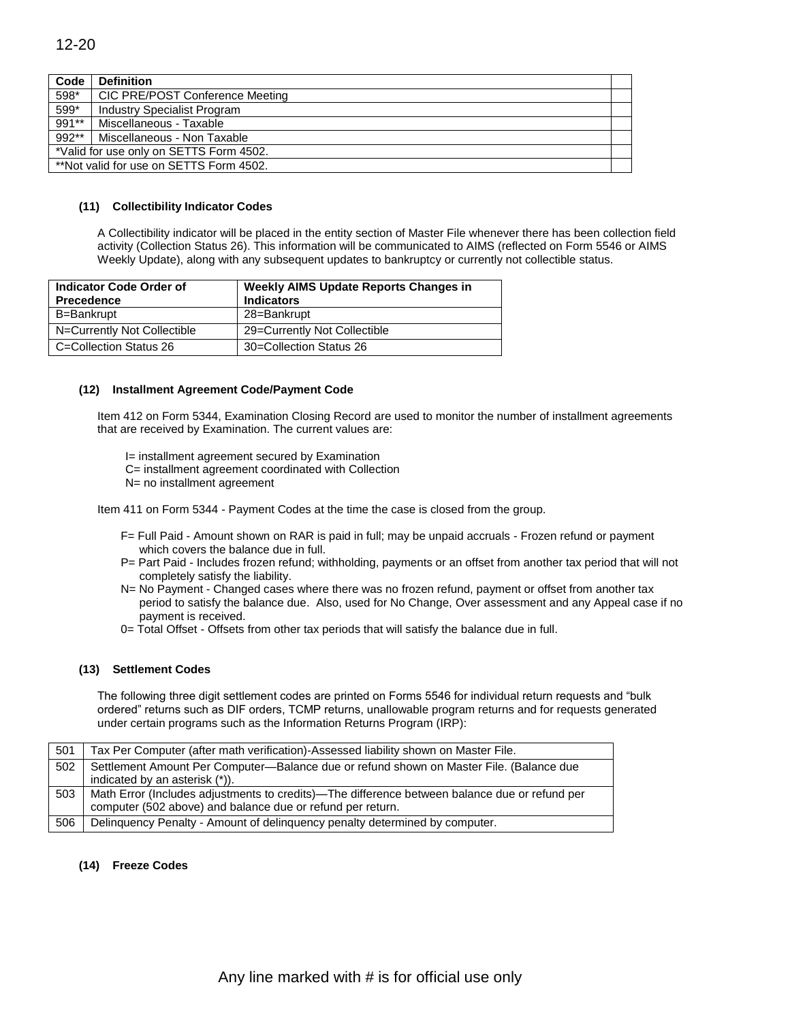| Code  | <b>Definition</b>                       |  |
|-------|-----------------------------------------|--|
| 598*  | CIC PRE/POST Conference Meeting         |  |
| 599*  | <b>Industry Specialist Program</b>      |  |
| 991** | Miscellaneous - Taxable                 |  |
| 992** | Miscellaneous - Non Taxable             |  |
|       | *Valid for use only on SETTS Form 4502. |  |
|       | **Not valid for use on SETTS Form 4502. |  |

#### **(11) Collectibility Indicator Codes**

A Collectibility indicator will be placed in the entity section of Master File whenever there has been collection field activity (Collection Status 26). This information will be communicated to AIMS (reflected on Form 5546 or AIMS Weekly Update), along with any subsequent updates to bankruptcy or currently not collectible status.

| Indicator Code Order of<br><b>Precedence</b> | <b>Weekly AIMS Update Reports Changes in</b><br><b>Indicators</b> |  |  |  |  |
|----------------------------------------------|-------------------------------------------------------------------|--|--|--|--|
| B=Bankrupt                                   | 28=Bankrupt                                                       |  |  |  |  |
| N=Currently Not Collectible                  | 29=Currently Not Collectible                                      |  |  |  |  |
| C=Collection Status 26                       | 30=Collection Status 26                                           |  |  |  |  |

#### **(12) Installment Agreement Code/Payment Code**

Item 412 on Form 5344, Examination Closing Record are used to monitor the number of installment agreements that are received by Examination. The current values are:

I= installment agreement secured by Examination C= installment agreement coordinated with Collection N= no installment agreement

Item 411 on Form 5344 - Payment Codes at the time the case is closed from the group.

- F= Full Paid Amount shown on RAR is paid in full; may be unpaid accruals Frozen refund or payment which covers the balance due in full.
- P= Part Paid Includes frozen refund; withholding, payments or an offset from another tax period that will not completely satisfy the liability.
- N= No Payment Changed cases where there was no frozen refund, payment or offset from another tax period to satisfy the balance due. Also, used for No Change, Over assessment and any Appeal case if no payment is received.
- 0= Total Offset Offsets from other tax periods that will satisfy the balance due in full.

#### **(13) Settlement Codes**

The following three digit settlement codes are printed on Forms 5546 for individual return requests and "bulk ordered" returns such as DIF orders, TCMP returns, unallowable program returns and for requests generated under certain programs such as the Information Returns Program (IRP):

| 501 | Tax Per Computer (after math verification)-Assessed liability shown on Master File.           |
|-----|-----------------------------------------------------------------------------------------------|
| 502 | Settlement Amount Per Computer-Balance due or refund shown on Master File. (Balance due       |
|     | indicated by an asterisk (*)).                                                                |
| 503 | Math Error (Includes adjustments to credits)—The difference between balance due or refund per |
|     | computer (502 above) and balance due or refund per return.                                    |
| 506 | Delinquency Penalty - Amount of delinquency penalty determined by computer.                   |

#### **(14) Freeze Codes**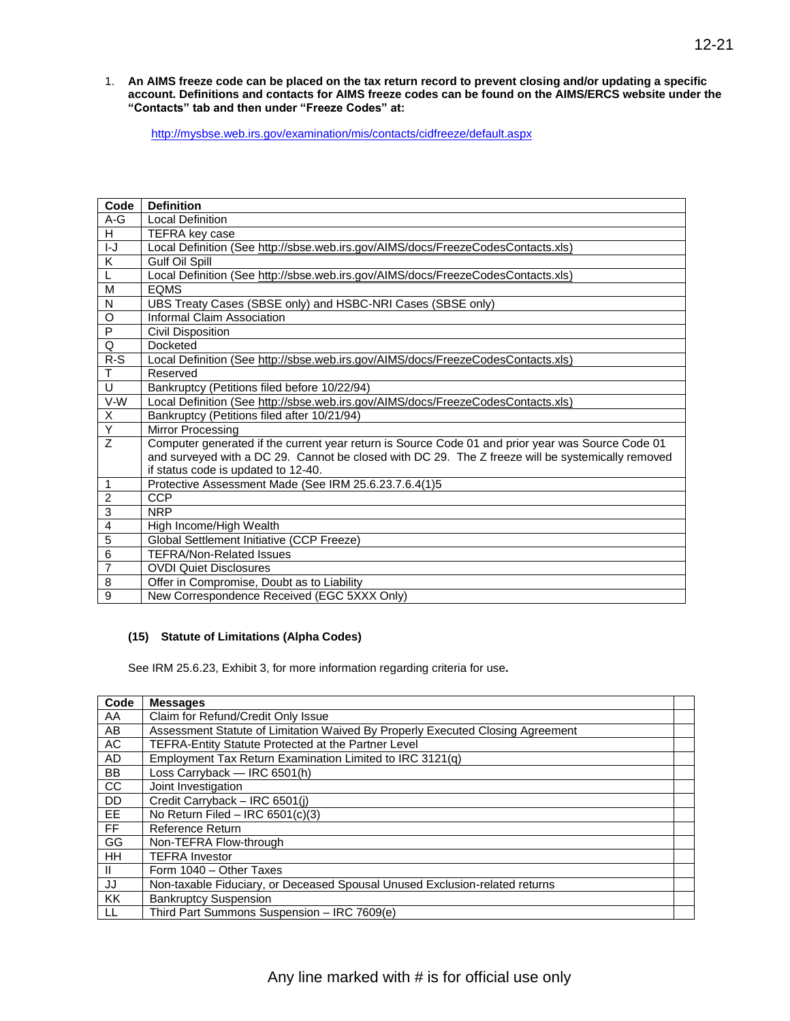1. **An AIMS freeze code can be placed on the tax return record to prevent closing and/or updating a specific account. Definitions and contacts for AIMS freeze codes can be found on the AIMS/ERCS website under the "Contacts" tab and then under "Freeze Codes" at:**

<http://mysbse.web.irs.gov/examination/mis/contacts/cidfreeze/default.aspx>

| Code           | <b>Definition</b>                                                                                 |
|----------------|---------------------------------------------------------------------------------------------------|
| $A-G$          | <b>Local Definition</b>                                                                           |
| H              | <b>TEFRA key case</b>                                                                             |
| $I-J$          | Local Definition (See http://sbse.web.irs.gov/AIMS/docs/FreezeCodesContacts.xls)                  |
| Κ              | <b>Gulf Oil Spill</b>                                                                             |
| L              | Local Definition (See http://sbse.web.irs.gov/AIMS/docs/FreezeCodesContacts.xls)                  |
| M              | <b>EQMS</b>                                                                                       |
| N              | UBS Treaty Cases (SBSE only) and HSBC-NRI Cases (SBSE only)                                       |
| O              | Informal Claim Association                                                                        |
| P              | <b>Civil Disposition</b>                                                                          |
| Q              | Docketed                                                                                          |
| $R-S$          | Local Definition (See http://sbse.web.irs.gov/AIMS/docs/FreezeCodesContacts.xls)                  |
| Τ              | Reserved                                                                                          |
| U              | Bankruptcy (Petitions filed before 10/22/94)                                                      |
| V-W            | Local Definition (See http://sbse.web.irs.gov/AIMS/docs/FreezeCodesContacts.xls)                  |
| Χ              | Bankruptcy (Petitions filed after 10/21/94)                                                       |
| Ÿ              | Mirror Processing                                                                                 |
| Z              | Computer generated if the current year return is Source Code 01 and prior year was Source Code 01 |
|                | and surveyed with a DC 29. Cannot be closed with DC 29. The Z freeze will be systemically removed |
|                | if status code is updated to 12-40.                                                               |
| $\mathbf{1}$   | Protective Assessment Made (See IRM 25.6.23.7.6.4(1)5                                             |
| $\overline{c}$ | <b>CCP</b>                                                                                        |
| $\overline{3}$ | <b>NRP</b>                                                                                        |
| $\overline{4}$ | High Income/High Wealth                                                                           |
| $\overline{5}$ | Global Settlement Initiative (CCP Freeze)                                                         |
| 6              | <b>TEFRA/Non-Related Issues</b>                                                                   |
| $\overline{7}$ | <b>OVDI Quiet Disclosures</b>                                                                     |
| 8              | Offer in Compromise, Doubt as to Liability                                                        |
| $\overline{9}$ | New Correspondence Received (EGC 5XXX Only)                                                       |

#### **(15) Statute of Limitations (Alpha Codes)**

See IRM 25.6.23, Exhibit 3, for more information regarding criteria for use*.* 

| Code      | <b>Messages</b>                                                                |  |
|-----------|--------------------------------------------------------------------------------|--|
| AA        | Claim for Refund/Credit Only Issue                                             |  |
| AB        | Assessment Statute of Limitation Waived By Properly Executed Closing Agreement |  |
| AC        | TEFRA-Entity Statute Protected at the Partner Level                            |  |
| <b>AD</b> | Employment Tax Return Examination Limited to IRC 3121(q)                       |  |
| <b>BB</b> | Loss Carryback - IRC 6501(h)                                                   |  |
| <b>CC</b> | Joint Investigation                                                            |  |
| <b>DD</b> | Credit Carryback - IRC 6501(i)                                                 |  |
| EE.       | No Return Filed - IRC $6501(c)(3)$                                             |  |
| <b>FF</b> | Reference Return                                                               |  |
| GG        | Non-TEFRA Flow-through                                                         |  |
| <b>HH</b> | <b>TEFRA Investor</b>                                                          |  |
| H         | Form 1040 - Other Taxes                                                        |  |
| JJ        | Non-taxable Fiduciary, or Deceased Spousal Unused Exclusion-related returns    |  |
| KK        | <b>Bankruptcy Suspension</b>                                                   |  |
| -LL       | Third Part Summons Suspension - IRC 7609(e)                                    |  |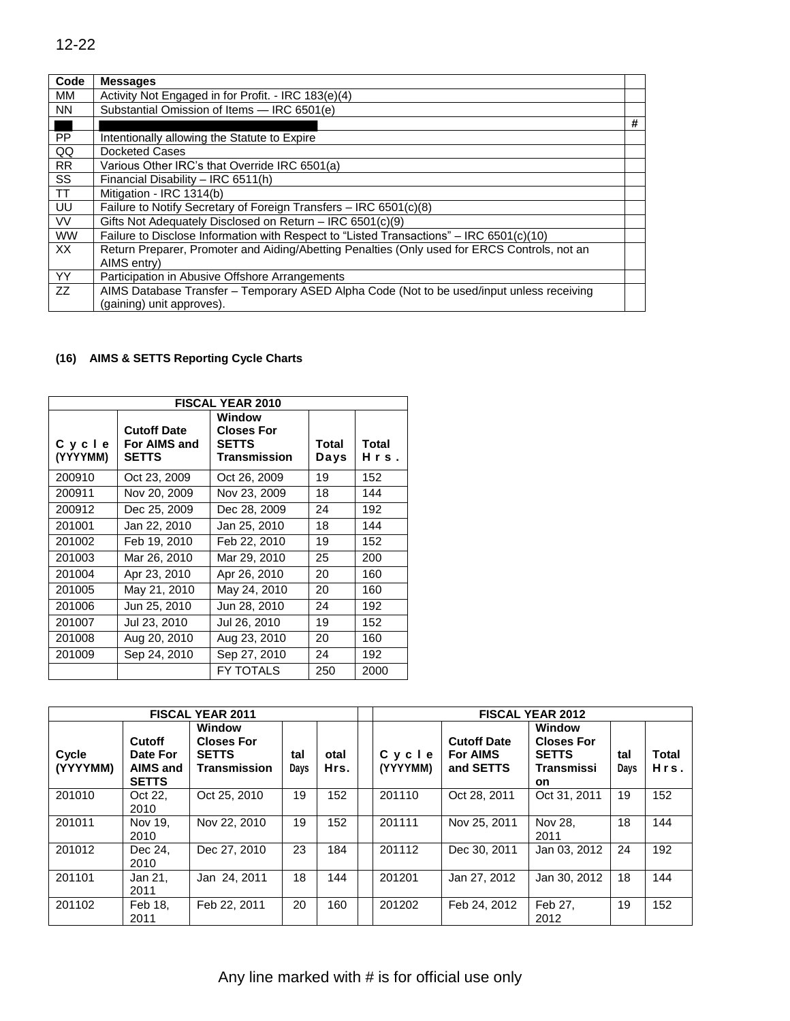| Code      | <b>Messages</b>                                                                              |   |
|-----------|----------------------------------------------------------------------------------------------|---|
| MМ        | Activity Not Engaged in for Profit. - IRC 183(e)(4)                                          |   |
| <b>NN</b> | Substantial Omission of Items - IRC 6501(e)                                                  |   |
|           |                                                                                              | # |
| <b>PP</b> | Intentionally allowing the Statute to Expire                                                 |   |
| QQ        | Docketed Cases                                                                               |   |
| <b>RR</b> | Various Other IRC's that Override IRC 6501(a)                                                |   |
| <b>SS</b> | Financial Disability - IRC 6511(h)                                                           |   |
| <b>TT</b> | Mitigation - IRC 1314(b)                                                                     |   |
| <b>UU</b> | Failure to Notify Secretary of Foreign Transfers – IRC 6501(c)(8)                            |   |
| <b>VV</b> | Gifts Not Adequately Disclosed on Return – IRC 6501(c)(9)                                    |   |
| <b>WW</b> | Failure to Disclose Information with Respect to "Listed Transactions" - IRC 6501(c)(10)      |   |
| XX        | Return Preparer, Promoter and Aiding/Abetting Penalties (Only used for ERCS Controls, not an |   |
|           | AIMS entry)                                                                                  |   |
| <b>YY</b> | Participation in Abusive Offshore Arrangements                                               |   |
| ZZ        | AIMS Database Transfer – Temporary ASED Alpha Code (Not to be used/input unless receiving    |   |
|           | (gaining) unit approves).                                                                    |   |

# **(16) AIMS & SETTS Reporting Cycle Charts**

| <b>FISCAL YEAR 2010</b> |                                                    |                                                             |               |               |  |  |  |  |
|-------------------------|----------------------------------------------------|-------------------------------------------------------------|---------------|---------------|--|--|--|--|
| Cycle<br>(YYYYMM)       | <b>Cutoff Date</b><br>For AIMS and<br><b>SETTS</b> | Window<br><b>Closes For</b><br><b>SETTS</b><br>Transmission | Total<br>Days | Total<br>Hrs. |  |  |  |  |
| 200910                  | Oct 23, 2009                                       | Oct 26, 2009                                                | 19            | 152           |  |  |  |  |
| 200911                  | Nov 20, 2009                                       | Nov 23, 2009                                                | 18            | 144           |  |  |  |  |
| 200912                  | Dec 25, 2009                                       | Dec 28, 2009                                                | 24            | 192           |  |  |  |  |
| 201001                  | Jan 22, 2010                                       | Jan 25, 2010                                                | 18            | 144           |  |  |  |  |
| 201002                  | Feb 19, 2010                                       | Feb 22, 2010                                                | 19            | 152           |  |  |  |  |
| 201003                  | Mar 26, 2010                                       | Mar 29, 2010                                                | 25            | 200           |  |  |  |  |
| 201004                  | Apr 23, 2010                                       | Apr 26, 2010                                                | 20            | 160           |  |  |  |  |
| 201005                  | May 21, 2010                                       | May 24, 2010                                                | 20            | 160           |  |  |  |  |
| 201006                  | Jun 25, 2010                                       | Jun 28, 2010                                                | 24            | 192           |  |  |  |  |
| 201007                  | Jul 23, 2010                                       | Jul 26, 2010                                                | 19            | 152           |  |  |  |  |
| 201008                  | Aug 20, 2010                                       | Aug 23, 2010                                                | 20            | 160           |  |  |  |  |
| 201009                  | Sep 24, 2010                                       | Sep 27, 2010                                                | 24            | 192           |  |  |  |  |
|                         |                                                    | FY TOTALS                                                   | 250           | 2000          |  |  |  |  |

| <b>FISCAL YEAR 2011</b> |                                                       |                                                                    |             | <b>FISCAL YEAR 2012</b> |                   |                                                    |                                                                  |             |                      |
|-------------------------|-------------------------------------------------------|--------------------------------------------------------------------|-------------|-------------------------|-------------------|----------------------------------------------------|------------------------------------------------------------------|-------------|----------------------|
| Cycle<br>(YYYYMM)       | Cutoff<br>Date For<br><b>AIMS and</b><br><b>SETTS</b> | <b>Window</b><br><b>Closes For</b><br><b>SETTS</b><br>Transmission | tal<br>Days | otal<br>Hrs.            | Cycle<br>(YYYYMM) | <b>Cutoff Date</b><br><b>For AIMS</b><br>and SETTS | Window<br><b>Closes For</b><br><b>SETTS</b><br>Transmissi<br>on. | tal<br>Days | <b>Total</b><br>Hrs. |
| 201010                  | Oct 22.<br>2010                                       | Oct 25, 2010                                                       | 19          | 152                     | 201110            | Oct 28, 2011                                       | Oct 31, 2011                                                     | 19          | 152                  |
| 201011                  | Nov 19.<br>2010                                       | Nov 22, 2010                                                       | 19          | 152                     | 201111            | Nov 25, 2011                                       | Nov 28.<br>2011                                                  | 18          | 144                  |
| 201012                  | Dec 24,<br>2010                                       | Dec 27, 2010                                                       | 23          | 184                     | 201112            | Dec 30, 2011                                       | Jan 03, 2012                                                     | 24          | 192                  |
| 201101                  | Jan 21,<br>2011                                       | Jan 24, 2011                                                       | 18          | 144                     | 201201            | Jan 27, 2012                                       | Jan 30, 2012                                                     | 18          | 144                  |
| 201102                  | Feb 18.<br>2011                                       | Feb 22, 2011                                                       | 20          | 160                     | 201202            | Feb 24, 2012                                       | Feb 27,<br>2012                                                  | 19          | 152                  |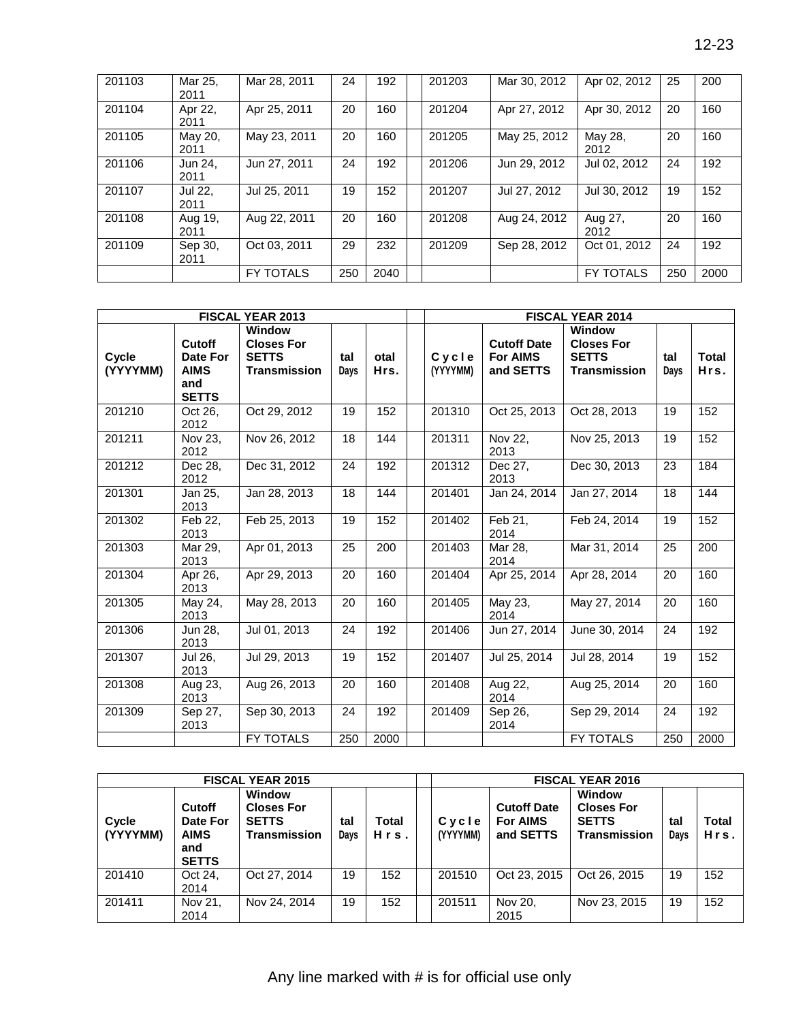| 201103 | Mar 25,<br>2011 | Mar 28, 2011     | 24  | 192  | 201203 | Mar 30, 2012 | Apr 02, 2012     | 25  | 200  |
|--------|-----------------|------------------|-----|------|--------|--------------|------------------|-----|------|
| 201104 | Apr 22,<br>2011 | Apr 25, 2011     | 20  | 160  | 201204 | Apr 27, 2012 | Apr 30, 2012     | 20  | 160  |
| 201105 | May 20,<br>2011 | May 23, 2011     | 20  | 160  | 201205 | May 25, 2012 | May 28,<br>2012  | 20  | 160  |
| 201106 | Jun 24.<br>2011 | Jun 27, 2011     | 24  | 192  | 201206 | Jun 29, 2012 | Jul 02, 2012     | 24  | 192  |
| 201107 | Jul 22.<br>2011 | Jul 25, 2011     | 19  | 152  | 201207 | Jul 27, 2012 | Jul 30, 2012     | 19  | 152  |
| 201108 | Aug 19,<br>2011 | Aug 22, 2011     | 20  | 160  | 201208 | Aug 24, 2012 | Aug 27,<br>2012  | 20  | 160  |
| 201109 | Sep 30,<br>2011 | Oct 03, 2011     | 29  | 232  | 201209 | Sep 28, 2012 | Oct 01, 2012     | 24  | 192  |
|        |                 | <b>FY TOTALS</b> | 250 | 2040 |        |              | <b>FY TOTALS</b> | 250 | 2000 |

|                   |                                                          | <b>FISCAL YEAR 2013</b>                                            |             |              | <b>FISCAL YEAR 2014</b> |                                                    |                                                                           |             |               |  |  |
|-------------------|----------------------------------------------------------|--------------------------------------------------------------------|-------------|--------------|-------------------------|----------------------------------------------------|---------------------------------------------------------------------------|-------------|---------------|--|--|
| Cycle<br>(YYYYMM) | Cutoff<br>Date For<br><b>AIMS</b><br>and<br><b>SETTS</b> | Window<br><b>Closes For</b><br><b>SETTS</b><br><b>Transmission</b> | tal<br>Days | otal<br>Hrs. | Cycle<br>(YYYYMM)       | <b>Cutoff Date</b><br><b>For AIMS</b><br>and SETTS | <b>Window</b><br><b>Closes For</b><br><b>SETTS</b><br><b>Transmission</b> | tal<br>Days | Total<br>Hrs. |  |  |
| 201210            | Oct 26.<br>2012                                          | Oct 29, 2012                                                       | 19          | 152          | 201310                  | Oct 25, 2013                                       | Oct 28, 2013                                                              | 19          | 152           |  |  |
| 201211            | Nov 23.<br>2012                                          | Nov 26, 2012                                                       | 18          | 144          | 201311                  | Nov 22.<br>2013                                    | Nov 25, 2013                                                              | 19          | 152           |  |  |
| 201212            | Dec 28.<br>2012                                          | Dec 31, 2012                                                       | 24          | 192          | 201312                  | Dec 27,<br>2013                                    | Dec 30, 2013                                                              | 23          | 184           |  |  |
| 201301            | Jan 25,<br>2013                                          | Jan 28, 2013                                                       | 18          | 144          | 201401                  | Jan 24, 2014                                       | Jan 27, 2014                                                              | 18          | 144           |  |  |
| 201302            | Feb 22,<br>2013                                          | Feb 25, 2013                                                       | 19          | 152          | 201402                  | $\overline{Fe}b$ 21,<br>2014                       | Feb 24, 2014                                                              | 19          | 152           |  |  |
| 201303            | Mar 29,<br>2013                                          | Apr 01, 2013                                                       | 25          | 200          | 201403                  | Mar 28,<br>2014                                    | Mar 31, 2014                                                              | 25          | 200           |  |  |
| 201304            | Apr 26,<br>2013                                          | Apr 29, 2013                                                       | 20          | 160          | 201404                  | Apr 25, 2014                                       | Apr 28, 2014                                                              | 20          | 160           |  |  |
| 201305            | May 24,<br>2013                                          | May 28, 2013                                                       | 20          | 160          | 201405                  | May 23,<br>2014                                    | May 27, 2014                                                              | 20          | 160           |  |  |
| 201306            | Jun 28,<br>2013                                          | Jul 01, 2013                                                       | 24          | 192          | 201406                  | Jun 27, 2014                                       | June 30, 2014                                                             | 24          | 192           |  |  |
| 201307            | Jul 26.<br>2013                                          | Jul 29, 2013                                                       | 19          | 152          | 201407                  | Jul 25, 2014                                       | Jul 28, 2014                                                              | 19          | 152           |  |  |
| 201308            | Aug 23,<br>2013                                          | Aug 26, 2013                                                       | 20          | 160          | 201408                  | Aug 22,<br>2014                                    | Aug 25, 2014                                                              | 20          | 160           |  |  |
| 201309            | Sep 27,<br>2013                                          | Sep 30, 2013                                                       | 24          | 192          | 201409                  | Sep 26,<br>2014                                    | Sep 29, 2014                                                              | 24          | 192           |  |  |
|                   |                                                          | FY TOTALS                                                          | 250         | 2000         |                         |                                                    | FY TOTALS                                                                 | 250         | 2000          |  |  |

|                   |                                                          | <b>FISCAL YEAR 2015</b>                                            |             |               | <b>FISCAL YEAR 2016</b> |                                                    |                                                                           |            |               |  |  |  |
|-------------------|----------------------------------------------------------|--------------------------------------------------------------------|-------------|---------------|-------------------------|----------------------------------------------------|---------------------------------------------------------------------------|------------|---------------|--|--|--|
| Cycle<br>(YYYYMM) | Cutoff<br>Date For<br><b>AIMS</b><br>and<br><b>SETTS</b> | Window<br><b>Closes For</b><br><b>SETTS</b><br><b>Transmission</b> | tal<br>Days | Total<br>Hrs. | Cycle<br>(YYYYMM)       | <b>Cutoff Date</b><br><b>For AIMS</b><br>and SETTS | <b>Window</b><br><b>Closes For</b><br><b>SETTS</b><br><b>Transmission</b> | ta<br>Days | Total<br>Hrs. |  |  |  |
| 201410            | Oct 24,<br>2014                                          | Oct 27, 2014                                                       | 19          | 152           | 201510                  | Oct 23, 2015                                       | Oct 26, 2015                                                              | 19         | 152           |  |  |  |
| 201411            | Nov 21,<br>2014                                          | Nov 24, 2014                                                       | 19          | 152           | 201511                  | Nov 20,<br>2015                                    | Nov 23, 2015                                                              | 19         | 152           |  |  |  |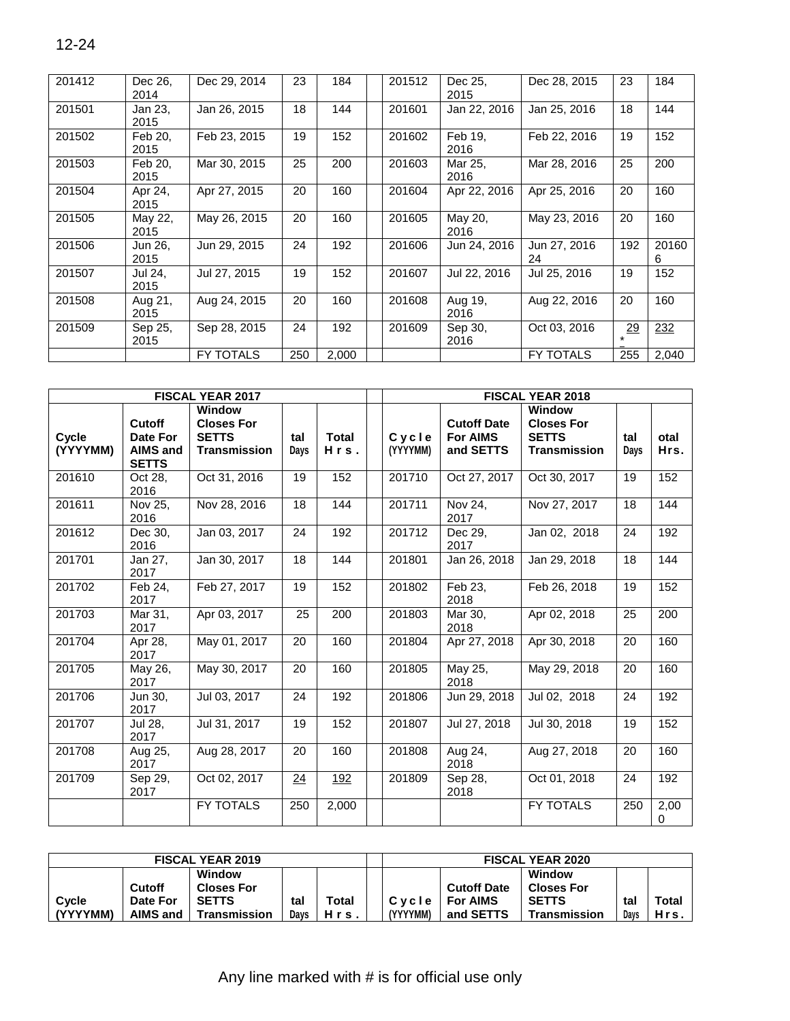| 201412 | Dec 26.<br>2014 | Dec 29, 2014     | 23  | 184   | 201512 | Dec 25.<br>2015 | Dec 28, 2015       | 23  | 184        |
|--------|-----------------|------------------|-----|-------|--------|-----------------|--------------------|-----|------------|
| 201501 | Jan 23,<br>2015 | Jan 26, 2015     | 18  | 144   | 201601 | Jan 22, 2016    | Jan 25, 2016       | 18  | 144        |
| 201502 | Feb 20.<br>2015 | Feb 23, 2015     | 19  | 152   | 201602 | Feb 19.<br>2016 | Feb 22, 2016       | 19  | 152        |
| 201503 | Feb 20.<br>2015 | Mar 30, 2015     | 25  | 200   | 201603 | Mar 25,<br>2016 | Mar 28, 2016       | 25  | 200        |
| 201504 | Apr 24,<br>2015 | Apr 27, 2015     | 20  | 160   | 201604 | Apr 22, 2016    | Apr 25, 2016       | 20  | 160        |
| 201505 | May 22,<br>2015 | May 26, 2015     | 20  | 160   | 201605 | May 20,<br>2016 | May 23, 2016       | 20  | 160        |
| 201506 | Jun 26,<br>2015 | Jun 29, 2015     | 24  | 192   | 201606 | Jun 24, 2016    | Jun 27, 2016<br>24 | 192 | 20160<br>6 |
| 201507 | Jul 24.<br>2015 | Jul 27, 2015     | 19  | 152   | 201607 | Jul 22, 2016    | Jul 25, 2016       | 19  | 152        |
| 201508 | Aug 21,<br>2015 | Aug 24, 2015     | 20  | 160   | 201608 | Aug 19,<br>2016 | Aug 22, 2016       | 20  | 160        |
| 201509 | Sep 25.<br>2015 | Sep 28, 2015     | 24  | 192   | 201609 | Sep 30,<br>2016 | Oct 03, 2016       | 29  | 232        |
|        |                 | <b>FY TOTALS</b> | 250 | 2,000 |        |                 | <b>FY TOTALS</b>   | 255 | 2,040      |

|          |                 | <b>FISCAL YEAR 2017</b> |      |              | <b>FISCAL YEAR 2018</b> |                    |                     |      |          |  |  |  |
|----------|-----------------|-------------------------|------|--------------|-------------------------|--------------------|---------------------|------|----------|--|--|--|
|          |                 | <b>Window</b>           |      |              |                         |                    | <b>Window</b>       |      |          |  |  |  |
|          | Cutoff          | <b>Closes For</b>       |      |              |                         | <b>Cutoff Date</b> | <b>Closes For</b>   |      |          |  |  |  |
| Cycle    | Date For        | <b>SETTS</b>            | tal  | <b>Total</b> | Cycle                   | <b>For AIMS</b>    | <b>SETTS</b>        | tal  | otal     |  |  |  |
| (YYYYMM) | <b>AIMS and</b> | <b>Transmission</b>     | Days | Hrs.         | (YYYYMM)                | and SETTS          | <b>Transmission</b> | Days | Hrs.     |  |  |  |
|          | <b>SETTS</b>    |                         |      |              |                         |                    |                     |      |          |  |  |  |
| 201610   | Oct 28.         | Oct 31, 2016            | 19   | 152          | 201710                  | Oct 27, 2017       | Oct 30, 2017        | 19   | 152      |  |  |  |
|          | 2016            |                         |      |              |                         |                    |                     |      |          |  |  |  |
| 201611   | Nov 25,         | Nov 28, 2016            | 18   | 144          | 201711                  | Nov 24,            | Nov 27, 2017        | 18   | 144      |  |  |  |
|          | 2016            |                         |      |              |                         | 2017               |                     |      |          |  |  |  |
| 201612   | Dec 30,         | Jan 03, 2017            | 24   | 192          | 201712                  | Dec 29,            | Jan 02, 2018        | 24   | 192      |  |  |  |
|          | 2016            |                         |      |              |                         | 2017               |                     |      |          |  |  |  |
| 201701   | Jan 27,         | Jan 30, 2017            | 18   | 144          | 201801                  | Jan 26, 2018       | Jan 29, 2018        | 18   | 144      |  |  |  |
|          | 2017            |                         |      |              |                         |                    |                     |      |          |  |  |  |
| 201702   | Feb 24.         | Feb 27, 2017            | 19   | 152          | 201802                  | Feb 23.            | Feb 26, 2018        | 19   | 152      |  |  |  |
|          | 2017            |                         |      |              |                         | 2018               |                     |      |          |  |  |  |
| 201703   | Mar 31.         | Apr 03, 2017            | 25   | 200          | 201803                  | Mar 30.            | Apr 02, 2018        | 25   | 200      |  |  |  |
|          | 2017            |                         |      |              |                         | 2018               |                     |      |          |  |  |  |
| 201704   | Apr 28,         | May 01, 2017            | 20   | 160          | 201804                  | Apr 27, 2018       | Apr 30, 2018        | 20   | 160      |  |  |  |
|          | 2017            |                         |      |              |                         |                    |                     |      |          |  |  |  |
| 201705   | May 26,         | May 30, 2017            | 20   | 160          | 201805                  | May 25,            | May 29, 2018        | 20   | 160      |  |  |  |
|          | 2017            |                         |      |              |                         | 2018               |                     |      |          |  |  |  |
| 201706   | Jun 30,         | Jul 03, 2017            | 24   | 192          | 201806                  | Jun 29, 2018       | Jul 02, 2018        | 24   | 192      |  |  |  |
|          | 2017            |                         |      |              |                         |                    |                     |      |          |  |  |  |
| 201707   | Jul 28.         | Jul 31, 2017            | 19   | 152          | 201807                  | Jul 27, 2018       | Jul 30, 2018        | 19   | 152      |  |  |  |
|          | 2017            |                         |      |              |                         |                    |                     |      |          |  |  |  |
| 201708   | Aug 25,         | Aug 28, 2017            | 20   | 160          | 201808                  | Aug 24,            | Aug 27, 2018        | 20   | 160      |  |  |  |
|          | 2017            |                         |      |              |                         | 2018               |                     |      |          |  |  |  |
| 201709   | Sep 29,         | Oct 02, 2017            | 24   | 192          | 201809                  | Sep 28,            | Oct 01, 2018        | 24   | 192      |  |  |  |
|          | 2017            |                         |      |              |                         | 2018               |                     |      |          |  |  |  |
|          |                 | <b>FY TOTALS</b>        | 250  | 2,000        |                         |                    | <b>FY TOTALS</b>    | 250  | 2,00     |  |  |  |
|          |                 |                         |      |              |                         |                    |                     |      | $\Omega$ |  |  |  |

| <b>FISCAL YEAR 2019</b> |          |                   |      |       | <b>FISCAL YEAR 2020</b> |                    |                   |      |       |  |  |
|-------------------------|----------|-------------------|------|-------|-------------------------|--------------------|-------------------|------|-------|--|--|
|                         |          | <b>Window</b>     |      |       |                         |                    | Window            |      |       |  |  |
|                         | Cutoff   | <b>Closes For</b> |      |       |                         | <b>Cutoff Date</b> | <b>Closes For</b> |      |       |  |  |
| Cycle                   | Date For | <b>SETTS</b>      | tal  | Total | Cycle                   | <b>For AIMS</b>    | <b>SETTS</b>      | tal  | Total |  |  |
| (YYYYMM)                | AIMS and | Transmission      | Davs | Hrs.  | (YYYYMM)                | and SETTS          | Transmission      | Davs | Hrs.  |  |  |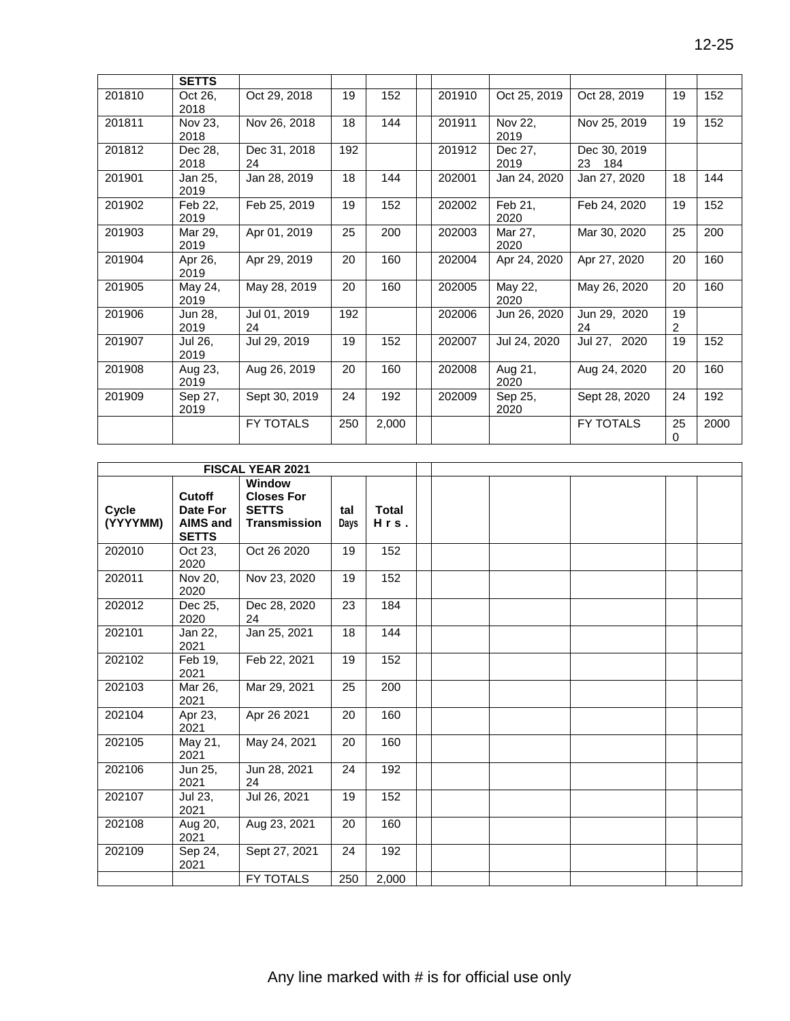|        | <b>SETTS</b>    |                    |     |       |        |                 |                             |         |      |
|--------|-----------------|--------------------|-----|-------|--------|-----------------|-----------------------------|---------|------|
| 201810 | Oct 26,<br>2018 | Oct 29, 2018       | 19  | 152   | 201910 | Oct 25, 2019    | Oct 28, 2019                | 19      | 152  |
| 201811 | Nov 23,<br>2018 | Nov 26, 2018       | 18  | 144   | 201911 | Nov 22,<br>2019 | Nov 25, 2019                | 19      | 152  |
| 201812 | Dec 28,<br>2018 | Dec 31, 2018<br>24 | 192 |       | 201912 | Dec 27,<br>2019 | Dec 30, 2019<br>- 184<br>23 |         |      |
| 201901 | Jan 25,<br>2019 | Jan 28, 2019       | 18  | 144   | 202001 | Jan 24, 2020    | Jan 27, 2020                | 18      | 144  |
| 201902 | Feb 22,<br>2019 | Feb 25, 2019       | 19  | 152   | 202002 | Feb 21,<br>2020 | Feb 24, 2020                | 19      | 152  |
| 201903 | Mar 29,<br>2019 | Apr 01, 2019       | 25  | 200   | 202003 | Mar 27,<br>2020 | Mar 30, 2020                | 25      | 200  |
| 201904 | Apr 26,<br>2019 | Apr 29, 2019       | 20  | 160   | 202004 | Apr 24, 2020    | Apr 27, 2020                | 20      | 160  |
| 201905 | May 24,<br>2019 | May 28, 2019       | 20  | 160   | 202005 | May 22,<br>2020 | May 26, 2020                | 20      | 160  |
| 201906 | Jun 28,<br>2019 | Jul 01, 2019<br>24 | 192 |       | 202006 | Jun 26, 2020    | Jun 29, 2020<br>24          | 19<br>2 |      |
| 201907 | Jul 26,<br>2019 | Jul 29, 2019       | 19  | 152   | 202007 | Jul 24, 2020    | Jul 27, 2020                | 19      | 152  |
| 201908 | Aug 23,<br>2019 | Aug 26, 2019       | 20  | 160   | 202008 | Aug 21,<br>2020 | Aug 24, 2020                | 20      | 160  |
| 201909 | Sep 27,<br>2019 | Sept 30, 2019      | 24  | 192   | 202009 | Sep 25,<br>2020 | Sept 28, 2020               | 24      | 192  |
|        |                 | FY TOTALS          | 250 | 2,000 |        |                 | FY TOTALS                   | 25<br>0 | 2000 |

|                   |                                                       | <b>FISCAL YEAR 2021</b>                                            |             |                      |  |  |  |  |
|-------------------|-------------------------------------------------------|--------------------------------------------------------------------|-------------|----------------------|--|--|--|--|
| Cycle<br>(YYYYMM) | Cutoff<br>Date For<br><b>AIMS and</b><br><b>SETTS</b> | Window<br><b>Closes For</b><br><b>SETTS</b><br><b>Transmission</b> | tal<br>Days | <b>Total</b><br>Hrs. |  |  |  |  |
| 202010            | Oct 23.<br>2020                                       | Oct 26 2020                                                        | 19          | 152                  |  |  |  |  |
| 202011            | Nov 20.<br>2020                                       | Nov 23, 2020                                                       | 19          | 152                  |  |  |  |  |
| 202012            | Dec 25,<br>2020                                       | Dec 28, 2020<br>24                                                 | 23          | 184                  |  |  |  |  |
| 202101            | Jan 22,<br>2021                                       | Jan 25, 2021                                                       | 18          | 144                  |  |  |  |  |
| 202102            | Feb 19,<br>2021                                       | Feb 22, 2021                                                       | 19          | 152                  |  |  |  |  |
| 202103            | Mar 26,<br>2021                                       | Mar 29, 2021                                                       | 25          | 200                  |  |  |  |  |
| 202104            | Apr 23,<br>2021                                       | Apr 26 2021                                                        | 20          | 160                  |  |  |  |  |
| 202105            | May 21,<br>2021                                       | May 24, 2021                                                       | 20          | 160                  |  |  |  |  |
| 202106            | Jun 25,<br>2021                                       | Jun 28, 2021<br>24                                                 | 24          | 192                  |  |  |  |  |
| 202107            | Jul 23,<br>2021                                       | Jul 26, 2021                                                       | 19          | 152                  |  |  |  |  |
| 202108            | Aug 20,<br>2021                                       | Aug 23, 2021                                                       | 20          | 160                  |  |  |  |  |
| 202109            | Sep 24,<br>2021                                       | Sept 27, 2021                                                      | 24          | 192                  |  |  |  |  |
|                   |                                                       | <b>FY TOTALS</b>                                                   | 250         | 2,000                |  |  |  |  |